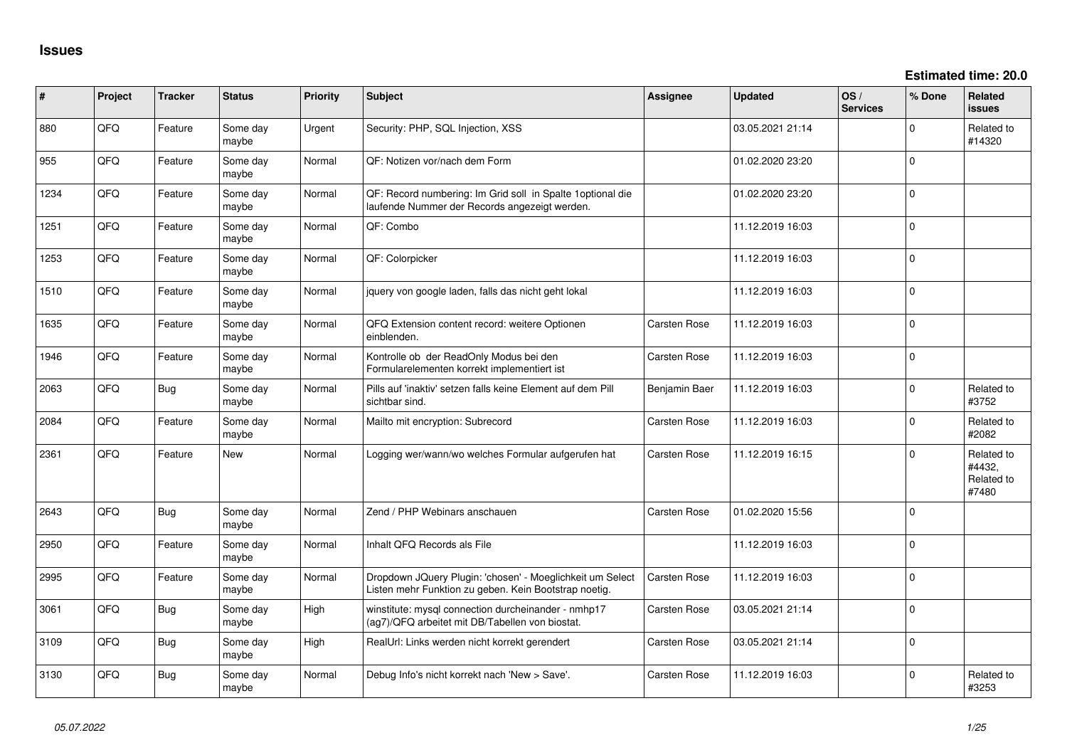**Estimated time: 20.0**

| #    | Project | <b>Tracker</b> | <b>Status</b>     | <b>Priority</b> | <b>Subject</b>                                                                                                     | <b>Assignee</b>     | Updated          | OS/<br><b>Services</b> | % Done   | <b>Related</b><br>issues                    |
|------|---------|----------------|-------------------|-----------------|--------------------------------------------------------------------------------------------------------------------|---------------------|------------------|------------------------|----------|---------------------------------------------|
| 880  | QFQ     | Feature        | Some day<br>maybe | Urgent          | Security: PHP, SQL Injection, XSS                                                                                  |                     | 03.05.2021 21:14 |                        | $\Omega$ | Related to<br>#14320                        |
| 955  | QFQ     | Feature        | Some day<br>maybe | Normal          | QF: Notizen vor/nach dem Form                                                                                      |                     | 01.02.2020 23:20 |                        | $\Omega$ |                                             |
| 1234 | QFQ     | Feature        | Some day<br>maybe | Normal          | QF: Record numbering: Im Grid soll in Spalte 1 optional die<br>laufende Nummer der Records angezeigt werden.       |                     | 01.02.2020 23:20 |                        | $\Omega$ |                                             |
| 1251 | QFQ     | Feature        | Some day<br>maybe | Normal          | QF: Combo                                                                                                          |                     | 11.12.2019 16:03 |                        | $\Omega$ |                                             |
| 1253 | QFQ     | Feature        | Some day<br>maybe | Normal          | QF: Colorpicker                                                                                                    |                     | 11.12.2019 16:03 |                        | $\Omega$ |                                             |
| 1510 | QFQ     | Feature        | Some day<br>maybe | Normal          | jquery von google laden, falls das nicht geht lokal                                                                |                     | 11.12.2019 16:03 |                        | $\Omega$ |                                             |
| 1635 | QFQ     | Feature        | Some day<br>maybe | Normal          | QFQ Extension content record: weitere Optionen<br>einblenden.                                                      | <b>Carsten Rose</b> | 11.12.2019 16:03 |                        | $\Omega$ |                                             |
| 1946 | QFQ     | Feature        | Some day<br>maybe | Normal          | Kontrolle ob der ReadOnly Modus bei den<br>Formularelementen korrekt implementiert ist                             | <b>Carsten Rose</b> | 11.12.2019 16:03 |                        | $\Omega$ |                                             |
| 2063 | QFQ     | Bug            | Some day<br>maybe | Normal          | Pills auf 'inaktiv' setzen falls keine Element auf dem Pill<br>sichtbar sind.                                      | Benjamin Baer       | 11.12.2019 16:03 |                        | $\Omega$ | Related to<br>#3752                         |
| 2084 | QFQ     | Feature        | Some day<br>maybe | Normal          | Mailto mit encryption: Subrecord                                                                                   | <b>Carsten Rose</b> | 11.12.2019 16:03 |                        | $\Omega$ | Related to<br>#2082                         |
| 2361 | QFQ     | Feature        | New               | Normal          | Logging wer/wann/wo welches Formular aufgerufen hat                                                                | <b>Carsten Rose</b> | 11.12.2019 16:15 |                        | $\Omega$ | Related to<br>#4432,<br>Related to<br>#7480 |
| 2643 | QFQ     | Bug            | Some day<br>maybe | Normal          | Zend / PHP Webinars anschauen                                                                                      | <b>Carsten Rose</b> | 01.02.2020 15:56 |                        | $\Omega$ |                                             |
| 2950 | QFQ     | Feature        | Some day<br>maybe | Normal          | Inhalt QFQ Records als File                                                                                        |                     | 11.12.2019 16:03 |                        | $\Omega$ |                                             |
| 2995 | QFQ     | Feature        | Some day<br>maybe | Normal          | Dropdown JQuery Plugin: 'chosen' - Moeglichkeit um Select<br>Listen mehr Funktion zu geben. Kein Bootstrap noetig. | <b>Carsten Rose</b> | 11.12.2019 16:03 |                        | $\Omega$ |                                             |
| 3061 | QFQ     | Bug            | Some day<br>maybe | High            | winstitute: mysql connection durcheinander - nmhp17<br>(ag7)/QFQ arbeitet mit DB/Tabellen von biostat.             | <b>Carsten Rose</b> | 03.05.2021 21:14 |                        | $\Omega$ |                                             |
| 3109 | QFQ     | Bug            | Some day<br>maybe | High            | RealUrl: Links werden nicht korrekt gerendert                                                                      | <b>Carsten Rose</b> | 03.05.2021 21:14 |                        | $\Omega$ |                                             |
| 3130 | QFQ     | Bug            | Some day<br>maybe | Normal          | Debug Info's nicht korrekt nach 'New > Save'.                                                                      | <b>Carsten Rose</b> | 11.12.2019 16:03 |                        | $\Omega$ | Related to<br>#3253                         |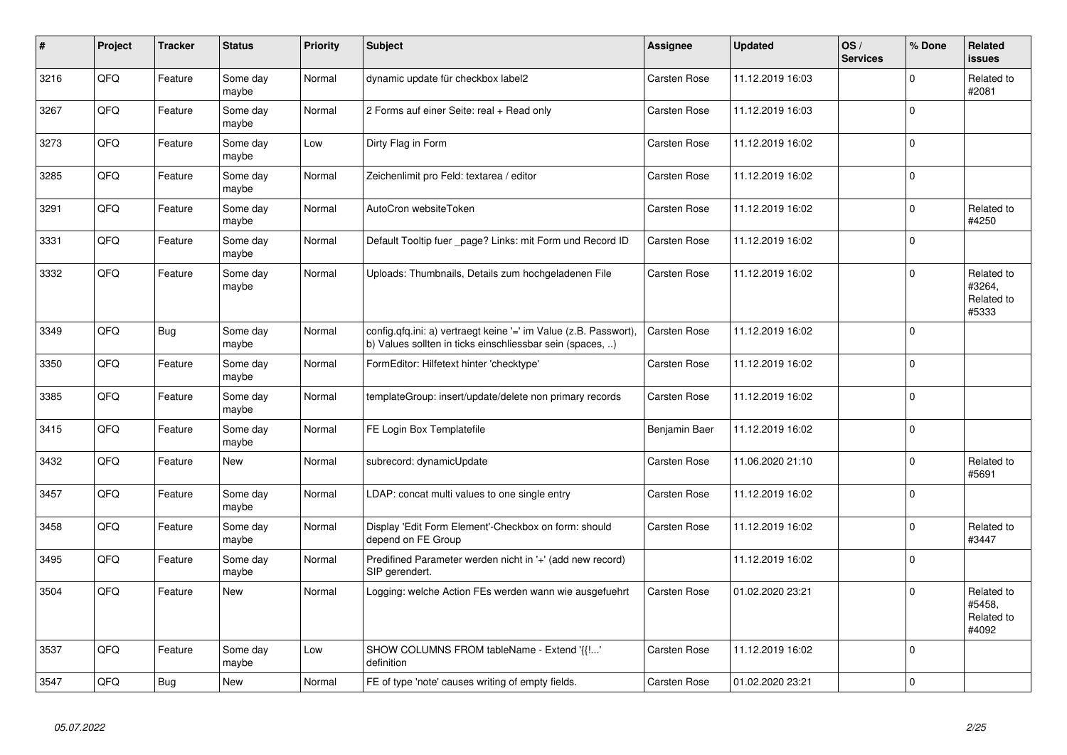| $\vert$ # | <b>Project</b> | <b>Tracker</b> | <b>Status</b>     | <b>Priority</b> | <b>Subject</b>                                                                                                                | Assignee            | <b>Updated</b>   | OS/<br><b>Services</b> | % Done      | Related<br>issues                           |
|-----------|----------------|----------------|-------------------|-----------------|-------------------------------------------------------------------------------------------------------------------------------|---------------------|------------------|------------------------|-------------|---------------------------------------------|
| 3216      | QFQ            | Feature        | Some day<br>maybe | Normal          | dynamic update für checkbox label2                                                                                            | <b>Carsten Rose</b> | 11.12.2019 16:03 |                        | $\Omega$    | Related to<br>#2081                         |
| 3267      | QFQ            | Feature        | Some day<br>maybe | Normal          | 2 Forms auf einer Seite: real + Read only                                                                                     | Carsten Rose        | 11.12.2019 16:03 |                        | $\Omega$    |                                             |
| 3273      | QFQ            | Feature        | Some day<br>maybe | Low             | Dirty Flag in Form                                                                                                            | <b>Carsten Rose</b> | 11.12.2019 16:02 |                        | $\Omega$    |                                             |
| 3285      | QFQ            | Feature        | Some day<br>maybe | Normal          | Zeichenlimit pro Feld: textarea / editor                                                                                      | <b>Carsten Rose</b> | 11.12.2019 16:02 |                        | $\Omega$    |                                             |
| 3291      | QFQ            | Feature        | Some day<br>maybe | Normal          | AutoCron websiteToken                                                                                                         | <b>Carsten Rose</b> | 11.12.2019 16:02 |                        | $\Omega$    | Related to<br>#4250                         |
| 3331      | QFQ            | Feature        | Some day<br>maybe | Normal          | Default Tooltip fuer page? Links: mit Form und Record ID                                                                      | <b>Carsten Rose</b> | 11.12.2019 16:02 |                        | $\Omega$    |                                             |
| 3332      | QFQ            | Feature        | Some day<br>maybe | Normal          | Uploads: Thumbnails, Details zum hochgeladenen File                                                                           | Carsten Rose        | 11.12.2019 16:02 |                        | $\Omega$    | Related to<br>#3264,<br>Related to<br>#5333 |
| 3349      | QFQ            | Bug            | Some day<br>maybe | Normal          | config.qfq.ini: a) vertraegt keine '=' im Value (z.B. Passwort),<br>b) Values sollten in ticks einschliessbar sein (spaces, ) | <b>Carsten Rose</b> | 11.12.2019 16:02 |                        | $\Omega$    |                                             |
| 3350      | QFQ            | Feature        | Some day<br>maybe | Normal          | FormEditor: Hilfetext hinter 'checktype'                                                                                      | <b>Carsten Rose</b> | 11.12.2019 16:02 |                        | $\mathbf 0$ |                                             |
| 3385      | QFQ            | Feature        | Some day<br>maybe | Normal          | templateGroup: insert/update/delete non primary records                                                                       | Carsten Rose        | 11.12.2019 16:02 |                        | $\Omega$    |                                             |
| 3415      | QFQ            | Feature        | Some day<br>maybe | Normal          | FE Login Box Templatefile                                                                                                     | Benjamin Baer       | 11.12.2019 16:02 |                        | $\Omega$    |                                             |
| 3432      | QFQ            | Feature        | <b>New</b>        | Normal          | subrecord: dynamicUpdate                                                                                                      | Carsten Rose        | 11.06.2020 21:10 |                        | $\Omega$    | Related to<br>#5691                         |
| 3457      | QFQ            | Feature        | Some day<br>maybe | Normal          | LDAP: concat multi values to one single entry                                                                                 | Carsten Rose        | 11.12.2019 16:02 |                        | $\Omega$    |                                             |
| 3458      | QFQ            | Feature        | Some day<br>maybe | Normal          | Display 'Edit Form Element'-Checkbox on form: should<br>depend on FE Group                                                    | <b>Carsten Rose</b> | 11.12.2019 16:02 |                        | $\Omega$    | Related to<br>#3447                         |
| 3495      | QFQ            | Feature        | Some day<br>maybe | Normal          | Predifined Parameter werden nicht in '+' (add new record)<br>SIP gerendert.                                                   |                     | 11.12.2019 16:02 |                        | $\mathbf 0$ |                                             |
| 3504      | QFQ            | Feature        | <b>New</b>        | Normal          | Logging: welche Action FEs werden wann wie ausgefuehrt                                                                        | <b>Carsten Rose</b> | 01.02.2020 23:21 |                        | $\Omega$    | Related to<br>#5458.<br>Related to<br>#4092 |
| 3537      | QFQ            | Feature        | Some day<br>maybe | Low             | SHOW COLUMNS FROM tableName - Extend '{{!'<br>definition                                                                      | Carsten Rose        | 11.12.2019 16:02 |                        | $\Omega$    |                                             |
| 3547      | QFQ            | <b>Bug</b>     | <b>New</b>        | Normal          | FE of type 'note' causes writing of empty fields.                                                                             | <b>Carsten Rose</b> | 01.02.2020 23:21 |                        | $\Omega$    |                                             |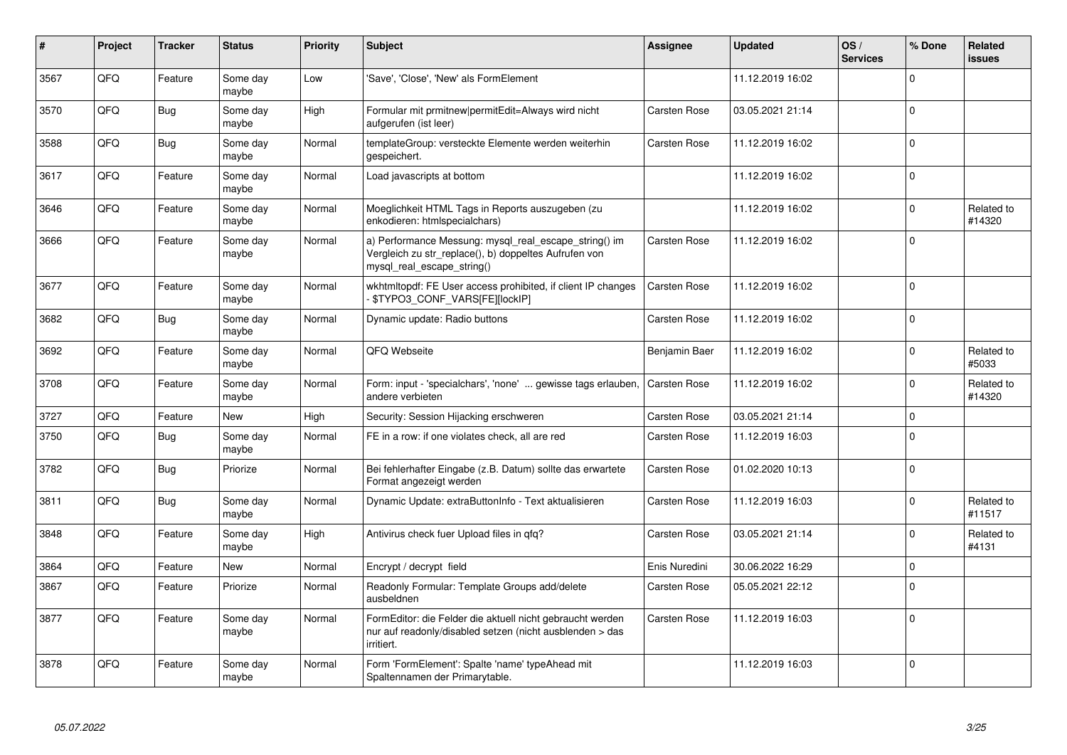| #    | Project | <b>Tracker</b> | <b>Status</b>     | <b>Priority</b> | <b>Subject</b>                                                                                                                               | <b>Assignee</b>     | <b>Updated</b>   | OS/<br><b>Services</b> | % Done   | Related<br><b>issues</b> |
|------|---------|----------------|-------------------|-----------------|----------------------------------------------------------------------------------------------------------------------------------------------|---------------------|------------------|------------------------|----------|--------------------------|
| 3567 | QFQ     | Feature        | Some day<br>maybe | Low             | 'Save', 'Close', 'New' als FormElement                                                                                                       |                     | 11.12.2019 16:02 |                        | $\Omega$ |                          |
| 3570 | QFQ     | Bug            | Some day<br>maybe | High            | Formular mit prmitnew permitEdit=Always wird nicht<br>aufgerufen (ist leer)                                                                  | <b>Carsten Rose</b> | 03.05.2021 21:14 |                        | $\Omega$ |                          |
| 3588 | QFQ     | Bug            | Some day<br>maybe | Normal          | templateGroup: versteckte Elemente werden weiterhin<br>gespeichert.                                                                          | <b>Carsten Rose</b> | 11.12.2019 16:02 |                        | $\Omega$ |                          |
| 3617 | QFQ     | Feature        | Some day<br>maybe | Normal          | Load javascripts at bottom                                                                                                                   |                     | 11.12.2019 16:02 |                        | $\Omega$ |                          |
| 3646 | QFQ     | Feature        | Some day<br>maybe | Normal          | Moeglichkeit HTML Tags in Reports auszugeben (zu<br>enkodieren: htmlspecialchars)                                                            |                     | 11.12.2019 16:02 |                        | $\Omega$ | Related to<br>#14320     |
| 3666 | QFQ     | Feature        | Some day<br>maybe | Normal          | a) Performance Messung: mysql_real_escape_string() im<br>Vergleich zu str replace(), b) doppeltes Aufrufen von<br>mysql_real_escape_string() | <b>Carsten Rose</b> | 11.12.2019 16:02 |                        | $\Omega$ |                          |
| 3677 | QFQ     | Feature        | Some day<br>maybe | Normal          | wkhtmltopdf: FE User access prohibited, if client IP changes<br><b>\$TYPO3 CONF VARS[FE][lockIP]</b>                                         | <b>Carsten Rose</b> | 11.12.2019 16:02 |                        | $\Omega$ |                          |
| 3682 | QFQ     | Bug            | Some day<br>maybe | Normal          | Dynamic update: Radio buttons                                                                                                                | <b>Carsten Rose</b> | 11.12.2019 16:02 |                        | $\Omega$ |                          |
| 3692 | QFQ     | Feature        | Some day<br>maybe | Normal          | QFQ Webseite                                                                                                                                 | Benjamin Baer       | 11.12.2019 16:02 |                        | $\Omega$ | Related to<br>#5033      |
| 3708 | QFQ     | Feature        | Some day<br>maybe | Normal          | Form: input - 'specialchars', 'none'  gewisse tags erlauben,<br>andere verbieten                                                             | Carsten Rose        | 11.12.2019 16:02 |                        | $\Omega$ | Related to<br>#14320     |
| 3727 | QFQ     | Feature        | <b>New</b>        | High            | Security: Session Hijacking erschweren                                                                                                       | <b>Carsten Rose</b> | 03.05.2021 21:14 |                        | $\Omega$ |                          |
| 3750 | QFQ     | Bug            | Some day<br>maybe | Normal          | FE in a row: if one violates check, all are red                                                                                              | <b>Carsten Rose</b> | 11.12.2019 16:03 |                        | $\Omega$ |                          |
| 3782 | QFQ     | Bug            | Priorize          | Normal          | Bei fehlerhafter Eingabe (z.B. Datum) sollte das erwartete<br>Format angezeigt werden                                                        | <b>Carsten Rose</b> | 01.02.2020 10:13 |                        | $\Omega$ |                          |
| 3811 | QFQ     | Bug            | Some day<br>maybe | Normal          | Dynamic Update: extraButtonInfo - Text aktualisieren                                                                                         | <b>Carsten Rose</b> | 11.12.2019 16:03 |                        | $\Omega$ | Related to<br>#11517     |
| 3848 | QFQ     | Feature        | Some day<br>maybe | High            | Antivirus check fuer Upload files in qfq?                                                                                                    | Carsten Rose        | 03.05.2021 21:14 |                        | $\Omega$ | Related to<br>#4131      |
| 3864 | QFQ     | Feature        | <b>New</b>        | Normal          | Encrypt / decrypt field                                                                                                                      | Enis Nuredini       | 30.06.2022 16:29 |                        | $\Omega$ |                          |
| 3867 | QFQ     | Feature        | Priorize          | Normal          | Readonly Formular: Template Groups add/delete<br>ausbeldnen                                                                                  | Carsten Rose        | 05.05.2021 22:12 |                        | $\Omega$ |                          |
| 3877 | QFQ     | Feature        | Some day<br>maybe | Normal          | FormEditor: die Felder die aktuell nicht gebraucht werden<br>nur auf readonly/disabled setzen (nicht ausblenden > das<br>irritiert.          | <b>Carsten Rose</b> | 11.12.2019 16:03 |                        | $\Omega$ |                          |
| 3878 | QFQ     | Feature        | Some day<br>maybe | Normal          | Form 'FormElement': Spalte 'name' typeAhead mit<br>Spaltennamen der Primarytable.                                                            |                     | 11.12.2019 16:03 |                        | $\Omega$ |                          |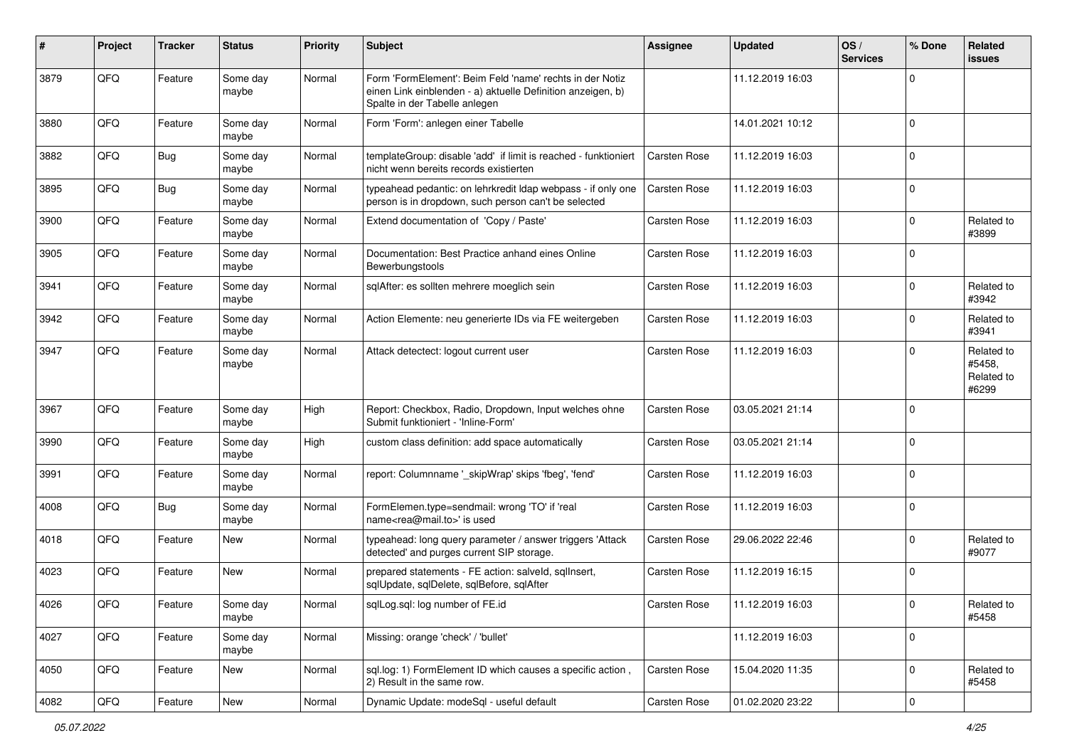| #    | Project | <b>Tracker</b> | <b>Status</b>     | <b>Priority</b> | <b>Subject</b>                                                                                                                                           | <b>Assignee</b>     | <b>Updated</b>   | OS/<br><b>Services</b> | % Done       | Related<br><b>issues</b>                    |
|------|---------|----------------|-------------------|-----------------|----------------------------------------------------------------------------------------------------------------------------------------------------------|---------------------|------------------|------------------------|--------------|---------------------------------------------|
| 3879 | QFQ     | Feature        | Some day<br>maybe | Normal          | Form 'FormElement': Beim Feld 'name' rechts in der Notiz<br>einen Link einblenden - a) aktuelle Definition anzeigen, b)<br>Spalte in der Tabelle anlegen |                     | 11.12.2019 16:03 |                        | $\Omega$     |                                             |
| 3880 | QFQ     | Feature        | Some day<br>maybe | Normal          | Form 'Form': anlegen einer Tabelle                                                                                                                       |                     | 14.01.2021 10:12 |                        | $\Omega$     |                                             |
| 3882 | QFQ     | Bug            | Some day<br>maybe | Normal          | templateGroup: disable 'add' if limit is reached - funktioniert<br>nicht wenn bereits records existierten                                                | Carsten Rose        | 11.12.2019 16:03 |                        | $\Omega$     |                                             |
| 3895 | QFQ     | Bug            | Some day<br>maybe | Normal          | typeahead pedantic: on lehrkredit Idap webpass - if only one<br>person is in dropdown, such person can't be selected                                     | <b>Carsten Rose</b> | 11.12.2019 16:03 |                        | $\Omega$     |                                             |
| 3900 | QFQ     | Feature        | Some day<br>maybe | Normal          | Extend documentation of 'Copy / Paste'                                                                                                                   | <b>Carsten Rose</b> | 11.12.2019 16:03 |                        | $\Omega$     | Related to<br>#3899                         |
| 3905 | QFQ     | Feature        | Some day<br>maybe | Normal          | Documentation: Best Practice anhand eines Online<br>Bewerbungstools                                                                                      | <b>Carsten Rose</b> | 11.12.2019 16:03 |                        | $\Omega$     |                                             |
| 3941 | QFQ     | Feature        | Some day<br>maybe | Normal          | sqlAfter: es sollten mehrere moeglich sein                                                                                                               | <b>Carsten Rose</b> | 11.12.2019 16:03 |                        | $\Omega$     | Related to<br>#3942                         |
| 3942 | QFQ     | Feature        | Some day<br>maybe | Normal          | Action Elemente: neu generierte IDs via FE weitergeben                                                                                                   | <b>Carsten Rose</b> | 11.12.2019 16:03 |                        | <sup>0</sup> | Related to<br>#3941                         |
| 3947 | QFQ     | Feature        | Some day<br>maybe | Normal          | Attack detectect: logout current user                                                                                                                    | <b>Carsten Rose</b> | 11.12.2019 16:03 |                        | $\Omega$     | Related to<br>#5458,<br>Related to<br>#6299 |
| 3967 | QFQ     | Feature        | Some day<br>maybe | High            | Report: Checkbox, Radio, Dropdown, Input welches ohne<br>Submit funktioniert - 'Inline-Form'                                                             | <b>Carsten Rose</b> | 03.05.2021 21:14 |                        | $\Omega$     |                                             |
| 3990 | QFQ     | Feature        | Some day<br>maybe | High            | custom class definition: add space automatically                                                                                                         | <b>Carsten Rose</b> | 03.05.2021 21:14 |                        | $\Omega$     |                                             |
| 3991 | QFQ     | Feature        | Some day<br>maybe | Normal          | report: Columnname '_skipWrap' skips 'fbeg', 'fend'                                                                                                      | <b>Carsten Rose</b> | 11.12.2019 16:03 |                        | $\mathbf 0$  |                                             |
| 4008 | QFQ     | Bug            | Some day<br>maybe | Normal          | FormElemen.type=sendmail: wrong 'TO' if 'real<br>name <rea@mail.to>' is used</rea@mail.to>                                                               | <b>Carsten Rose</b> | 11.12.2019 16:03 |                        | $\mathbf 0$  |                                             |
| 4018 | QFQ     | Feature        | <b>New</b>        | Normal          | typeahead: long query parameter / answer triggers 'Attack<br>detected' and purges current SIP storage.                                                   | Carsten Rose        | 29.06.2022 22:46 |                        | 0            | Related to<br>#9077                         |
| 4023 | QFQ     | Feature        | New               | Normal          | prepared statements - FE action: salveld, sqllnsert,<br>sqlUpdate, sqlDelete, sqlBefore, sqlAfter                                                        | <b>Carsten Rose</b> | 11.12.2019 16:15 |                        | $\Omega$     |                                             |
| 4026 | QFQ     | Feature        | Some day<br>maybe | Normal          | sqlLog.sql: log number of FE.id                                                                                                                          | Carsten Rose        | 11.12.2019 16:03 |                        | $\pmb{0}$    | Related to<br>#5458                         |
| 4027 | QFQ     | Feature        | Some day<br>maybe | Normal          | Missing: orange 'check' / 'bullet'                                                                                                                       |                     | 11.12.2019 16:03 |                        | $\mathbf 0$  |                                             |
| 4050 | QFQ     | Feature        | New               | Normal          | sql.log: 1) FormElement ID which causes a specific action,<br>2) Result in the same row.                                                                 | Carsten Rose        | 15.04.2020 11:35 |                        | 0            | Related to<br>#5458                         |
| 4082 | QFQ     | Feature        | New               | Normal          | Dynamic Update: modeSql - useful default                                                                                                                 | Carsten Rose        | 01.02.2020 23:22 |                        | 0            |                                             |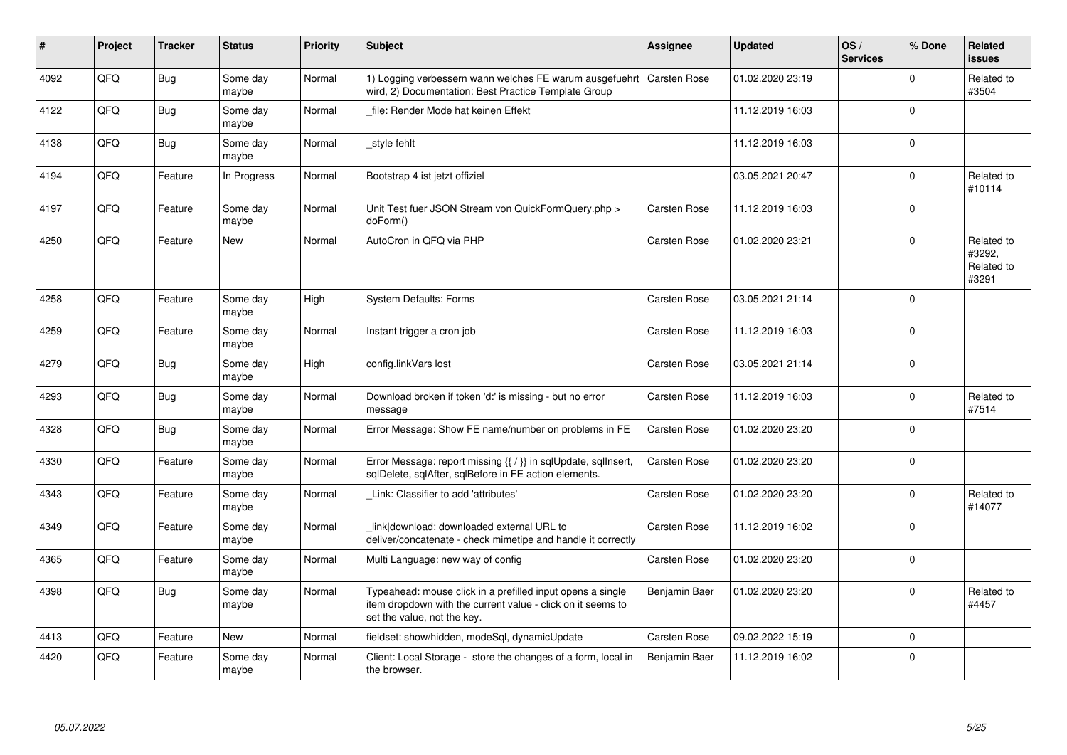| #    | Project | <b>Tracker</b> | <b>Status</b>     | Priority | <b>Subject</b>                                                                                                                                           | <b>Assignee</b>     | <b>Updated</b>   | OS/<br><b>Services</b> | % Done      | Related<br><b>issues</b>                    |
|------|---------|----------------|-------------------|----------|----------------------------------------------------------------------------------------------------------------------------------------------------------|---------------------|------------------|------------------------|-------------|---------------------------------------------|
| 4092 | QFQ     | <b>Bug</b>     | Some day<br>maybe | Normal   | 1) Logging verbessern wann welches FE warum ausgefuehrt<br>wird, 2) Documentation: Best Practice Template Group                                          | <b>Carsten Rose</b> | 01.02.2020 23:19 |                        | $\Omega$    | Related to<br>#3504                         |
| 4122 | QFQ     | <b>Bug</b>     | Some day<br>maybe | Normal   | file: Render Mode hat keinen Effekt                                                                                                                      |                     | 11.12.2019 16:03 |                        | $\Omega$    |                                             |
| 4138 | QFQ     | <b>Bug</b>     | Some day<br>maybe | Normal   | style fehlt                                                                                                                                              |                     | 11.12.2019 16:03 |                        | $\Omega$    |                                             |
| 4194 | QFQ     | Feature        | In Progress       | Normal   | Bootstrap 4 ist jetzt offiziel                                                                                                                           |                     | 03.05.2021 20:47 |                        | $\Omega$    | Related to<br>#10114                        |
| 4197 | QFQ     | Feature        | Some day<br>maybe | Normal   | Unit Test fuer JSON Stream von QuickFormQuery.php ><br>doForm()                                                                                          | <b>Carsten Rose</b> | 11.12.2019 16:03 |                        | $\Omega$    |                                             |
| 4250 | QFQ     | Feature        | <b>New</b>        | Normal   | AutoCron in QFQ via PHP                                                                                                                                  | <b>Carsten Rose</b> | 01.02.2020 23:21 |                        | $\Omega$    | Related to<br>#3292,<br>Related to<br>#3291 |
| 4258 | QFQ     | Feature        | Some day<br>maybe | High     | <b>System Defaults: Forms</b>                                                                                                                            | <b>Carsten Rose</b> | 03.05.2021 21:14 |                        | $\Omega$    |                                             |
| 4259 | QFQ     | Feature        | Some day<br>maybe | Normal   | Instant trigger a cron job                                                                                                                               | <b>Carsten Rose</b> | 11.12.2019 16:03 |                        | $\Omega$    |                                             |
| 4279 | QFQ     | <b>Bug</b>     | Some day<br>maybe | High     | config.linkVars lost                                                                                                                                     | <b>Carsten Rose</b> | 03.05.2021 21:14 |                        | $\Omega$    |                                             |
| 4293 | QFQ     | <b>Bug</b>     | Some day<br>maybe | Normal   | Download broken if token 'd:' is missing - but no error<br>message                                                                                       | <b>Carsten Rose</b> | 11.12.2019 16:03 |                        | $\Omega$    | Related to<br>#7514                         |
| 4328 | QFQ     | <b>Bug</b>     | Some day<br>maybe | Normal   | Error Message: Show FE name/number on problems in FE                                                                                                     | <b>Carsten Rose</b> | 01.02.2020 23:20 |                        | $\mathbf 0$ |                                             |
| 4330 | QFQ     | Feature        | Some day<br>maybe | Normal   | Error Message: report missing {{ / }} in sqlUpdate, sqlInsert,<br>sqlDelete, sqlAfter, sqlBefore in FE action elements.                                  | <b>Carsten Rose</b> | 01.02.2020 23:20 |                        | $\Omega$    |                                             |
| 4343 | QFQ     | Feature        | Some day<br>maybe | Normal   | Link: Classifier to add 'attributes'                                                                                                                     | <b>Carsten Rose</b> | 01.02.2020 23:20 |                        | $\Omega$    | Related to<br>#14077                        |
| 4349 | QFQ     | Feature        | Some day<br>maybe | Normal   | link download: downloaded external URL to<br>deliver/concatenate - check mimetipe and handle it correctly                                                | <b>Carsten Rose</b> | 11.12.2019 16:02 |                        | $\Omega$    |                                             |
| 4365 | QFQ     | Feature        | Some day<br>maybe | Normal   | Multi Language: new way of config                                                                                                                        | Carsten Rose        | 01.02.2020 23:20 |                        | $\Omega$    |                                             |
| 4398 | QFQ     | Bug            | Some day<br>maybe | Normal   | Typeahead: mouse click in a prefilled input opens a single<br>item dropdown with the current value - click on it seems to<br>set the value, not the key. | Benjamin Baer       | 01.02.2020 23:20 |                        | $\Omega$    | Related to<br>#4457                         |
| 4413 | QFQ     | Feature        | <b>New</b>        | Normal   | fieldset: show/hidden, modeSql, dynamicUpdate                                                                                                            | <b>Carsten Rose</b> | 09.02.2022 15:19 |                        | $\Omega$    |                                             |
| 4420 | QFQ     | Feature        | Some day<br>maybe | Normal   | Client: Local Storage - store the changes of a form, local in<br>the browser.                                                                            | Benjamin Baer       | 11.12.2019 16:02 |                        | 0           |                                             |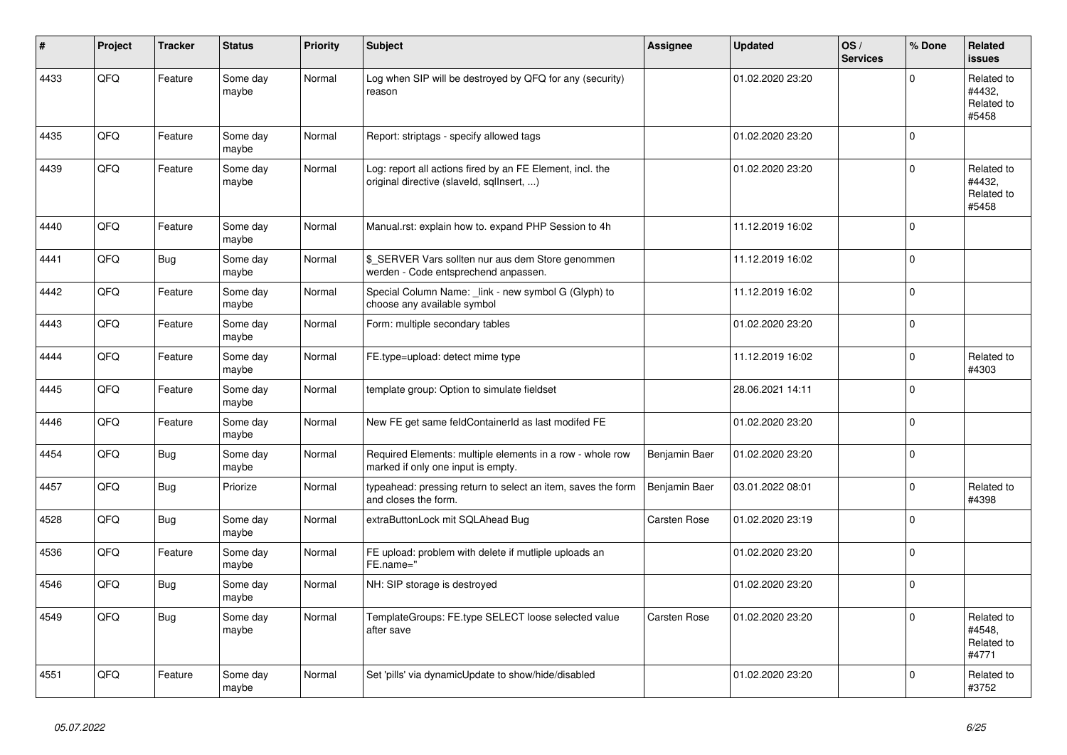| ∦    | Project | <b>Tracker</b> | <b>Status</b>     | <b>Priority</b> | <b>Subject</b>                                                                                         | Assignee            | <b>Updated</b>   | OS/<br><b>Services</b> | % Done      | Related<br><b>issues</b>                    |
|------|---------|----------------|-------------------|-----------------|--------------------------------------------------------------------------------------------------------|---------------------|------------------|------------------------|-------------|---------------------------------------------|
| 4433 | QFQ     | Feature        | Some day<br>maybe | Normal          | Log when SIP will be destroyed by QFQ for any (security)<br>reason                                     |                     | 01.02.2020 23:20 |                        | $\mathbf 0$ | Related to<br>#4432,<br>Related to<br>#5458 |
| 4435 | QFQ     | Feature        | Some day<br>maybe | Normal          | Report: striptags - specify allowed tags                                                               |                     | 01.02.2020 23:20 |                        | $\mathbf 0$ |                                             |
| 4439 | QFQ     | Feature        | Some day<br>maybe | Normal          | Log: report all actions fired by an FE Element, incl. the<br>original directive (slaveld, sqllnsert, ) |                     | 01.02.2020 23:20 |                        | $\mathsf 0$ | Related to<br>#4432.<br>Related to<br>#5458 |
| 4440 | QFQ     | Feature        | Some day<br>maybe | Normal          | Manual.rst: explain how to. expand PHP Session to 4h                                                   |                     | 11.12.2019 16:02 |                        | $\mathbf 0$ |                                             |
| 4441 | QFQ     | <b>Bug</b>     | Some day<br>maybe | Normal          | \$ SERVER Vars sollten nur aus dem Store genommen<br>werden - Code entsprechend anpassen.              |                     | 11.12.2019 16:02 |                        | $\pmb{0}$   |                                             |
| 4442 | QFQ     | Feature        | Some day<br>maybe | Normal          | Special Column Name: _link - new symbol G (Glyph) to<br>choose any available symbol                    |                     | 11.12.2019 16:02 |                        | $\mathbf 0$ |                                             |
| 4443 | QFQ     | Feature        | Some day<br>maybe | Normal          | Form: multiple secondary tables                                                                        |                     | 01.02.2020 23:20 |                        | $\mathbf 0$ |                                             |
| 4444 | QFQ     | Feature        | Some day<br>maybe | Normal          | FE.type=upload: detect mime type                                                                       |                     | 11.12.2019 16:02 |                        | $\mathbf 0$ | Related to<br>#4303                         |
| 4445 | QFQ     | Feature        | Some day<br>maybe | Normal          | template group: Option to simulate fieldset                                                            |                     | 28.06.2021 14:11 |                        | $\mathbf 0$ |                                             |
| 4446 | QFQ     | Feature        | Some day<br>maybe | Normal          | New FE get same feldContainerId as last modifed FE                                                     |                     | 01.02.2020 23:20 |                        | $\mathbf 0$ |                                             |
| 4454 | QFQ     | <b>Bug</b>     | Some day<br>maybe | Normal          | Required Elements: multiple elements in a row - whole row<br>marked if only one input is empty.        | Benjamin Baer       | 01.02.2020 23:20 |                        | $\mathbf 0$ |                                             |
| 4457 | QFQ     | Bug            | Priorize          | Normal          | typeahead: pressing return to select an item, saves the form<br>and closes the form.                   | Benjamin Baer       | 03.01.2022 08:01 |                        | $\Omega$    | Related to<br>#4398                         |
| 4528 | QFQ     | Bug            | Some day<br>maybe | Normal          | extraButtonLock mit SQLAhead Bug                                                                       | <b>Carsten Rose</b> | 01.02.2020 23:19 |                        | $\mathbf 0$ |                                             |
| 4536 | QFQ     | Feature        | Some day<br>maybe | Normal          | FE upload: problem with delete if mutliple uploads an<br>FE.name="                                     |                     | 01.02.2020 23:20 |                        | $\mathsf 0$ |                                             |
| 4546 | QFQ     | Bug            | Some day<br>maybe | Normal          | NH: SIP storage is destroyed                                                                           |                     | 01.02.2020 23:20 |                        | $\Omega$    |                                             |
| 4549 | QFQ     | Bug            | Some day<br>maybe | Normal          | TemplateGroups: FE.type SELECT loose selected value<br>after save                                      | <b>Carsten Rose</b> | 01.02.2020 23:20 |                        | $\mathbf 0$ | Related to<br>#4548,<br>Related to<br>#4771 |
| 4551 | QFQ     | Feature        | Some day<br>maybe | Normal          | Set 'pills' via dynamicUpdate to show/hide/disabled                                                    |                     | 01.02.2020 23:20 |                        | $\mathbf 0$ | Related to<br>#3752                         |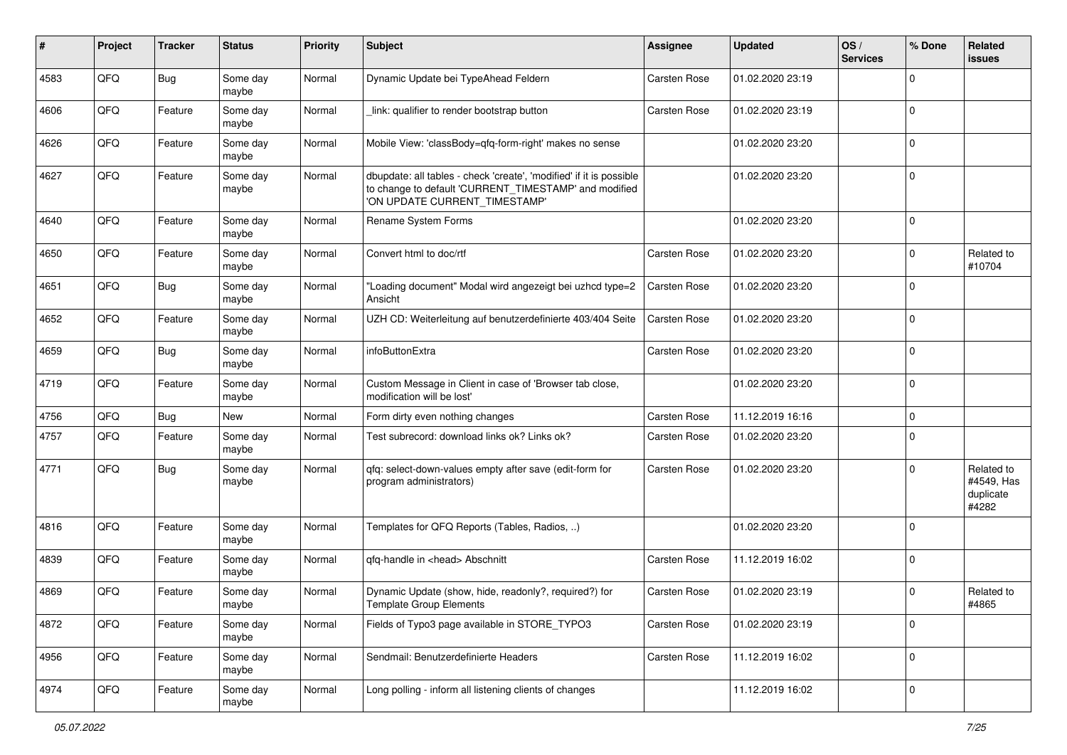| ∦    | Project | <b>Tracker</b> | <b>Status</b>     | <b>Priority</b> | <b>Subject</b>                                                                                                                                                | <b>Assignee</b>     | <b>Updated</b>   | OS/<br><b>Services</b> | % Done   | Related<br>issues                              |
|------|---------|----------------|-------------------|-----------------|---------------------------------------------------------------------------------------------------------------------------------------------------------------|---------------------|------------------|------------------------|----------|------------------------------------------------|
| 4583 | QFQ     | Bug            | Some day<br>maybe | Normal          | Dynamic Update bei TypeAhead Feldern                                                                                                                          | <b>Carsten Rose</b> | 01.02.2020 23:19 |                        | $\Omega$ |                                                |
| 4606 | QFQ     | Feature        | Some day<br>maybe | Normal          | link: qualifier to render bootstrap button                                                                                                                    | <b>Carsten Rose</b> | 01.02.2020 23:19 |                        | $\Omega$ |                                                |
| 4626 | QFQ     | Feature        | Some day<br>maybe | Normal          | Mobile View: 'classBody=qfq-form-right' makes no sense                                                                                                        |                     | 01.02.2020 23:20 |                        | $\Omega$ |                                                |
| 4627 | QFQ     | Feature        | Some day<br>maybe | Normal          | dbupdate: all tables - check 'create', 'modified' if it is possible<br>to change to default 'CURRENT_TIMESTAMP' and modified<br>'ON UPDATE CURRENT TIMESTAMP' |                     | 01.02.2020 23:20 |                        | $\Omega$ |                                                |
| 4640 | QFQ     | Feature        | Some day<br>maybe | Normal          | Rename System Forms                                                                                                                                           |                     | 01.02.2020 23:20 |                        | 0        |                                                |
| 4650 | QFQ     | Feature        | Some day<br>maybe | Normal          | Convert html to doc/rtf                                                                                                                                       | <b>Carsten Rose</b> | 01.02.2020 23:20 |                        | 0        | Related to<br>#10704                           |
| 4651 | QFQ     | Bug            | Some day<br>maybe | Normal          | "Loading document" Modal wird angezeigt bei uzhcd type=2<br>Ansicht                                                                                           | <b>Carsten Rose</b> | 01.02.2020 23:20 |                        | $\Omega$ |                                                |
| 4652 | QFQ     | Feature        | Some day<br>maybe | Normal          | UZH CD: Weiterleitung auf benutzerdefinierte 403/404 Seite                                                                                                    | <b>Carsten Rose</b> | 01.02.2020 23:20 |                        | $\Omega$ |                                                |
| 4659 | QFQ     | Bug            | Some day<br>maybe | Normal          | infoButtonExtra                                                                                                                                               | <b>Carsten Rose</b> | 01.02.2020 23:20 |                        | 0        |                                                |
| 4719 | QFQ     | Feature        | Some day<br>maybe | Normal          | Custom Message in Client in case of 'Browser tab close,<br>modification will be lost'                                                                         |                     | 01.02.2020 23:20 |                        | 0        |                                                |
| 4756 | QFQ     | Bug            | <b>New</b>        | Normal          | Form dirty even nothing changes                                                                                                                               | <b>Carsten Rose</b> | 11.12.2019 16:16 |                        | 0        |                                                |
| 4757 | QFQ     | Feature        | Some day<br>maybe | Normal          | Test subrecord: download links ok? Links ok?                                                                                                                  | <b>Carsten Rose</b> | 01.02.2020 23:20 |                        | $\Omega$ |                                                |
| 4771 | QFQ     | Bug            | Some day<br>maybe | Normal          | qfq: select-down-values empty after save (edit-form for<br>program administrators)                                                                            | <b>Carsten Rose</b> | 01.02.2020 23:20 |                        | $\Omega$ | Related to<br>#4549, Has<br>duplicate<br>#4282 |
| 4816 | QFQ     | Feature        | Some day<br>maybe | Normal          | Templates for QFQ Reports (Tables, Radios, )                                                                                                                  |                     | 01.02.2020 23:20 |                        | $\Omega$ |                                                |
| 4839 | QFQ     | Feature        | Some day<br>maybe | Normal          | qfq-handle in <head> Abschnitt</head>                                                                                                                         | Carsten Rose        | 11.12.2019 16:02 |                        | $\Omega$ |                                                |
| 4869 | QFQ     | Feature        | Some day<br>maybe | Normal          | Dynamic Update (show, hide, readonly?, required?) for<br><b>Template Group Elements</b>                                                                       | Carsten Rose        | 01.02.2020 23:19 |                        | $\Omega$ | Related to<br>#4865                            |
| 4872 | QFQ     | Feature        | Some day<br>maybe | Normal          | Fields of Typo3 page available in STORE_TYPO3                                                                                                                 | Carsten Rose        | 01.02.2020 23:19 |                        | 0        |                                                |
| 4956 | QFQ     | Feature        | Some day<br>maybe | Normal          | Sendmail: Benutzerdefinierte Headers                                                                                                                          | Carsten Rose        | 11.12.2019 16:02 |                        | 0        |                                                |
| 4974 | QFQ     | Feature        | Some day<br>maybe | Normal          | Long polling - inform all listening clients of changes                                                                                                        |                     | 11.12.2019 16:02 |                        | 0        |                                                |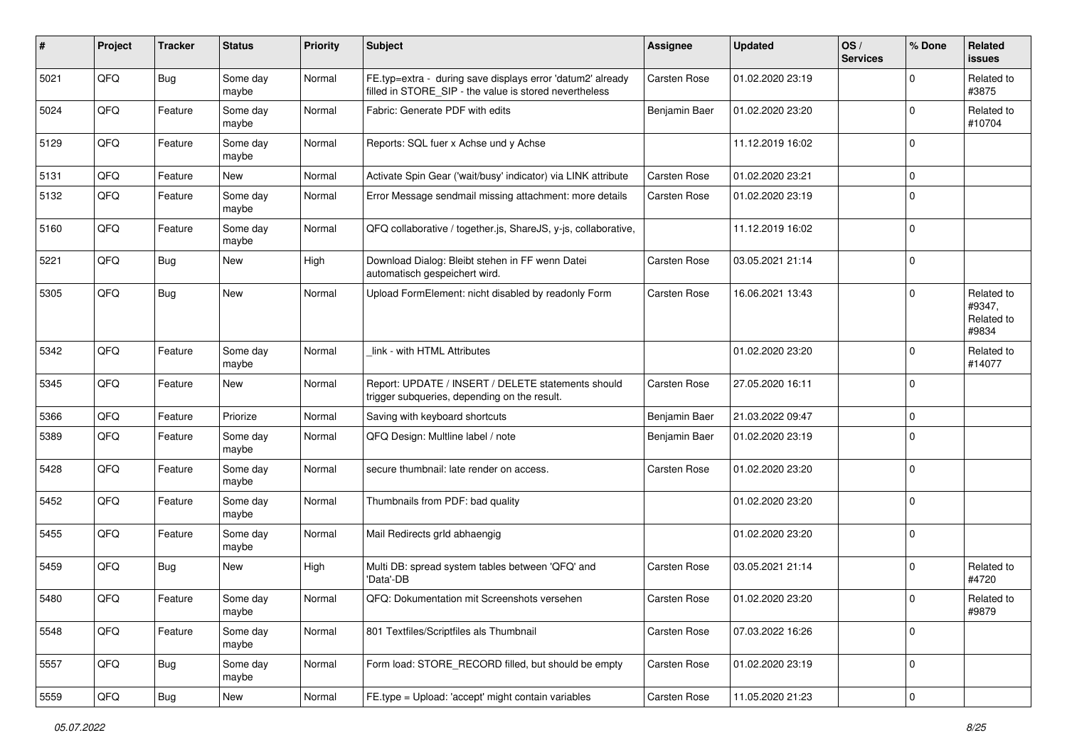| #    | Project | <b>Tracker</b> | <b>Status</b>     | <b>Priority</b> | <b>Subject</b>                                                                                                       | <b>Assignee</b>     | <b>Updated</b>   | OS/<br><b>Services</b> | % Done      | Related<br>issues                           |
|------|---------|----------------|-------------------|-----------------|----------------------------------------------------------------------------------------------------------------------|---------------------|------------------|------------------------|-------------|---------------------------------------------|
| 5021 | QFQ     | Bug            | Some day<br>maybe | Normal          | FE.typ=extra - during save displays error 'datum2' already<br>filled in STORE_SIP - the value is stored nevertheless | <b>Carsten Rose</b> | 01.02.2020 23:19 |                        | $\Omega$    | Related to<br>#3875                         |
| 5024 | QFQ     | Feature        | Some day<br>maybe | Normal          | Fabric: Generate PDF with edits                                                                                      | Benjamin Baer       | 01.02.2020 23:20 |                        | $\Omega$    | Related to<br>#10704                        |
| 5129 | QFQ     | Feature        | Some day<br>maybe | Normal          | Reports: SQL fuer x Achse und y Achse                                                                                |                     | 11.12.2019 16:02 |                        | $\Omega$    |                                             |
| 5131 | QFQ     | Feature        | New               | Normal          | Activate Spin Gear ('wait/busy' indicator) via LINK attribute                                                        | <b>Carsten Rose</b> | 01.02.2020 23:21 |                        | $\mathbf 0$ |                                             |
| 5132 | QFQ     | Feature        | Some day<br>maybe | Normal          | Error Message sendmail missing attachment: more details                                                              | <b>Carsten Rose</b> | 01.02.2020 23:19 |                        | $\Omega$    |                                             |
| 5160 | QFQ     | Feature        | Some day<br>maybe | Normal          | QFQ collaborative / together.js, ShareJS, y-js, collaborative,                                                       |                     | 11.12.2019 16:02 |                        | 0           |                                             |
| 5221 | QFQ     | Bug            | <b>New</b>        | High            | Download Dialog: Bleibt stehen in FF wenn Datei<br>automatisch gespeichert wird.                                     | <b>Carsten Rose</b> | 03.05.2021 21:14 |                        | $\mathbf 0$ |                                             |
| 5305 | QFQ     | Bug            | New               | Normal          | Upload FormElement: nicht disabled by readonly Form                                                                  | <b>Carsten Rose</b> | 16.06.2021 13:43 |                        | $\Omega$    | Related to<br>#9347,<br>Related to<br>#9834 |
| 5342 | QFQ     | Feature        | Some day<br>maybe | Normal          | link - with HTML Attributes                                                                                          |                     | 01.02.2020 23:20 |                        | $\Omega$    | Related to<br>#14077                        |
| 5345 | QFQ     | Feature        | <b>New</b>        | Normal          | Report: UPDATE / INSERT / DELETE statements should<br>trigger subqueries, depending on the result.                   | <b>Carsten Rose</b> | 27.05.2020 16:11 |                        | 0           |                                             |
| 5366 | QFQ     | Feature        | Priorize          | Normal          | Saving with keyboard shortcuts                                                                                       | Benjamin Baer       | 21.03.2022 09:47 |                        | 0           |                                             |
| 5389 | QFQ     | Feature        | Some day<br>maybe | Normal          | QFQ Design: Multline label / note                                                                                    | Benjamin Baer       | 01.02.2020 23:19 |                        | $\Omega$    |                                             |
| 5428 | QFQ     | Feature        | Some day<br>maybe | Normal          | secure thumbnail: late render on access.                                                                             | <b>Carsten Rose</b> | 01.02.2020 23:20 |                        | $\Omega$    |                                             |
| 5452 | QFQ     | Feature        | Some day<br>maybe | Normal          | Thumbnails from PDF: bad quality                                                                                     |                     | 01.02.2020 23:20 |                        | $\Omega$    |                                             |
| 5455 | QFQ     | Feature        | Some day<br>maybe | Normal          | Mail Redirects grld abhaengig                                                                                        |                     | 01.02.2020 23:20 |                        | $\mathbf 0$ |                                             |
| 5459 | QFQ     | Bug            | <b>New</b>        | High            | Multi DB: spread system tables between 'QFQ' and<br>'Data'-DB                                                        | <b>Carsten Rose</b> | 03.05.2021 21:14 |                        | $\Omega$    | Related to<br>#4720                         |
| 5480 | QFQ     | Feature        | Some day<br>maybe | Normal          | QFQ: Dokumentation mit Screenshots versehen                                                                          | <b>Carsten Rose</b> | 01.02.2020 23:20 |                        | $\Omega$    | Related to<br>#9879                         |
| 5548 | QFQ     | Feature        | Some day<br>maybe | Normal          | 801 Textfiles/Scriptfiles als Thumbnail                                                                              | Carsten Rose        | 07.03.2022 16:26 |                        | $\mathbf 0$ |                                             |
| 5557 | QFG     | Bug            | Some day<br>maybe | Normal          | Form load: STORE_RECORD filled, but should be empty                                                                  | Carsten Rose        | 01.02.2020 23:19 |                        | $\mathbf 0$ |                                             |
| 5559 | QFQ     | Bug            | New               | Normal          | FE.type = Upload: 'accept' might contain variables                                                                   | Carsten Rose        | 11.05.2020 21:23 |                        | $\mathbf 0$ |                                             |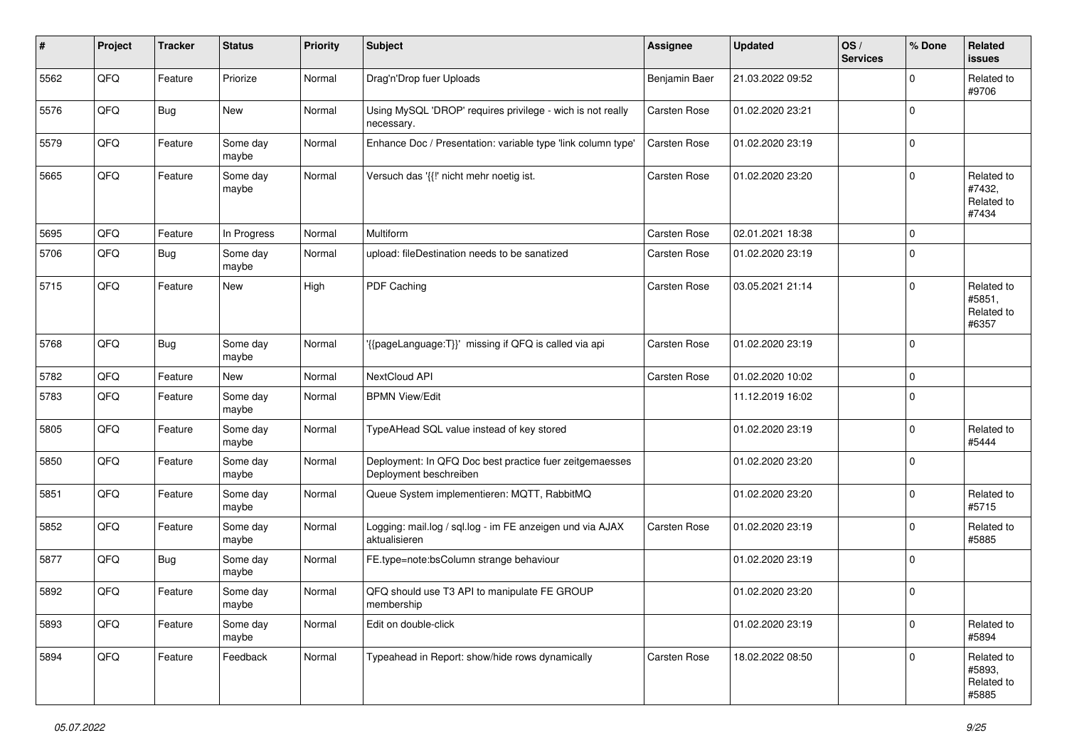| #    | Project | <b>Tracker</b> | <b>Status</b>     | <b>Priority</b> | <b>Subject</b>                                                                    | <b>Assignee</b>     | <b>Updated</b>   | OS/<br><b>Services</b> | % Done      | Related<br>issues                           |
|------|---------|----------------|-------------------|-----------------|-----------------------------------------------------------------------------------|---------------------|------------------|------------------------|-------------|---------------------------------------------|
| 5562 | QFQ     | Feature        | Priorize          | Normal          | Drag'n'Drop fuer Uploads                                                          | Benjamin Baer       | 21.03.2022 09:52 |                        | $\Omega$    | Related to<br>#9706                         |
| 5576 | QFQ     | Bug            | New               | Normal          | Using MySQL 'DROP' requires privilege - wich is not really<br>necessary.          | <b>Carsten Rose</b> | 01.02.2020 23:21 |                        | $\Omega$    |                                             |
| 5579 | QFQ     | Feature        | Some day<br>maybe | Normal          | Enhance Doc / Presentation: variable type 'link column type'                      | <b>Carsten Rose</b> | 01.02.2020 23:19 |                        | $\Omega$    |                                             |
| 5665 | QFQ     | Feature        | Some day<br>maybe | Normal          | Versuch das '{{!' nicht mehr noetig ist.                                          | <b>Carsten Rose</b> | 01.02.2020 23:20 |                        | $\Omega$    | Related to<br>#7432,<br>Related to<br>#7434 |
| 5695 | QFQ     | Feature        | In Progress       | Normal          | Multiform                                                                         | <b>Carsten Rose</b> | 02.01.2021 18:38 |                        | $\Omega$    |                                             |
| 5706 | QFQ     | Bug            | Some day<br>maybe | Normal          | upload: fileDestination needs to be sanatized                                     | <b>Carsten Rose</b> | 01.02.2020 23:19 |                        | $\Omega$    |                                             |
| 5715 | QFQ     | Feature        | New               | High            | PDF Caching                                                                       | Carsten Rose        | 03.05.2021 21:14 |                        | $\Omega$    | Related to<br>#5851,<br>Related to<br>#6357 |
| 5768 | QFQ     | Bug            | Some day<br>maybe | Normal          | '{{pageLanguage:T}}' missing if QFQ is called via api                             | <b>Carsten Rose</b> | 01.02.2020 23:19 |                        | $\mathbf 0$ |                                             |
| 5782 | QFQ     | Feature        | <b>New</b>        | Normal          | NextCloud API                                                                     | Carsten Rose        | 01.02.2020 10:02 |                        | $\mathbf 0$ |                                             |
| 5783 | QFQ     | Feature        | Some day<br>maybe | Normal          | <b>BPMN View/Edit</b>                                                             |                     | 11.12.2019 16:02 |                        | $\Omega$    |                                             |
| 5805 | QFQ     | Feature        | Some day<br>maybe | Normal          | TypeAHead SQL value instead of key stored                                         |                     | 01.02.2020 23:19 |                        | 0           | Related to<br>#5444                         |
| 5850 | QFQ     | Feature        | Some day<br>maybe | Normal          | Deployment: In QFQ Doc best practice fuer zeitgemaesses<br>Deployment beschreiben |                     | 01.02.2020 23:20 |                        | $\Omega$    |                                             |
| 5851 | QFQ     | Feature        | Some day<br>maybe | Normal          | Queue System implementieren: MQTT, RabbitMQ                                       |                     | 01.02.2020 23:20 |                        | $\Omega$    | Related to<br>#5715                         |
| 5852 | QFQ     | Feature        | Some day<br>maybe | Normal          | Logging: mail.log / sql.log - im FE anzeigen und via AJAX<br>aktualisieren        | <b>Carsten Rose</b> | 01.02.2020 23:19 |                        | $\Omega$    | Related to<br>#5885                         |
| 5877 | QFQ     | Bug            | Some day<br>maybe | Normal          | FE.type=note:bsColumn strange behaviour                                           |                     | 01.02.2020 23:19 |                        | $\Omega$    |                                             |
| 5892 | QFQ     | Feature        | Some day<br>maybe | Normal          | QFQ should use T3 API to manipulate FE GROUP<br>membership                        |                     | 01.02.2020 23:20 |                        | $\Omega$    |                                             |
| 5893 | QFQ     | Feature        | Some day<br>maybe | Normal          | Edit on double-click                                                              |                     | 01.02.2020 23:19 |                        | $\mathbf 0$ | Related to<br>#5894                         |
| 5894 | QFQ     | Feature        | Feedback          | Normal          | Typeahead in Report: show/hide rows dynamically                                   | Carsten Rose        | 18.02.2022 08:50 |                        | $\mathbf 0$ | Related to<br>#5893,<br>Related to<br>#5885 |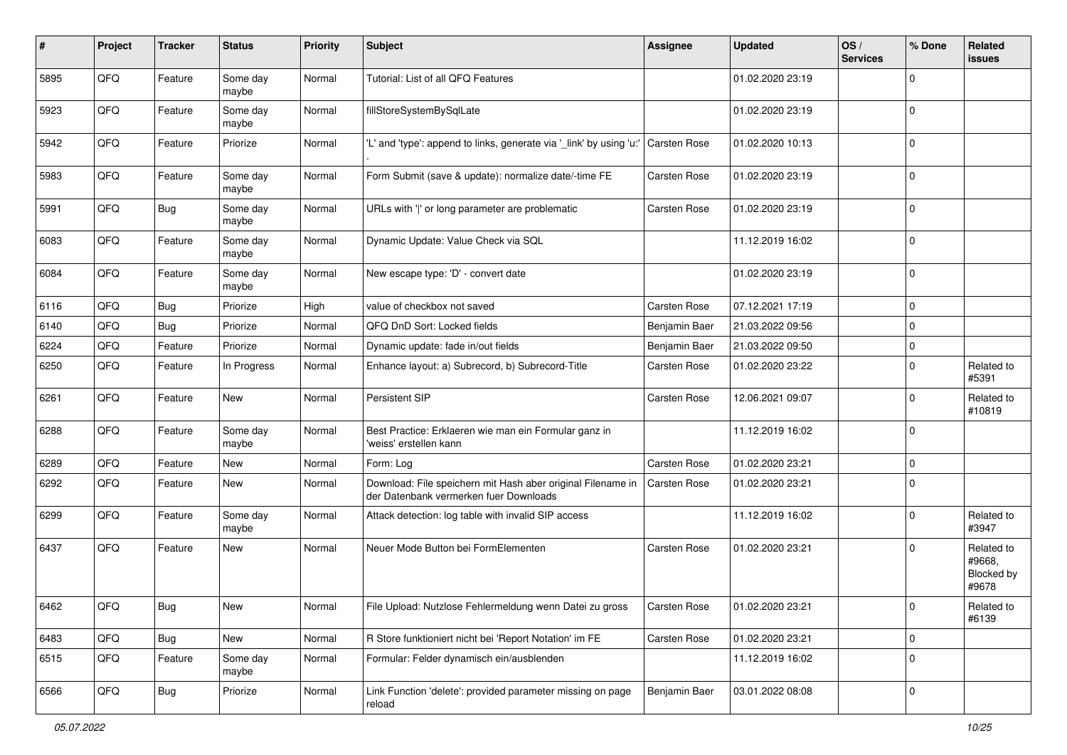| #    | Project | <b>Tracker</b> | <b>Status</b>     | <b>Priority</b> | <b>Subject</b>                                                                                        | <b>Assignee</b>     | <b>Updated</b>   | OS/<br><b>Services</b> | % Done      | Related<br>issues                           |
|------|---------|----------------|-------------------|-----------------|-------------------------------------------------------------------------------------------------------|---------------------|------------------|------------------------|-------------|---------------------------------------------|
| 5895 | QFQ     | Feature        | Some day<br>maybe | Normal          | Tutorial: List of all QFQ Features                                                                    |                     | 01.02.2020 23:19 |                        | $\Omega$    |                                             |
| 5923 | QFQ     | Feature        | Some day<br>maybe | Normal          | fillStoreSystemBySqlLate                                                                              |                     | 01.02.2020 23:19 |                        | 0           |                                             |
| 5942 | QFQ     | Feature        | Priorize          | Normal          | 'L' and 'type': append to links, generate via '_link' by using 'u:'                                   | <b>Carsten Rose</b> | 01.02.2020 10:13 |                        | $\Omega$    |                                             |
| 5983 | QFQ     | Feature        | Some day<br>maybe | Normal          | Form Submit (save & update): normalize date/-time FE                                                  | <b>Carsten Rose</b> | 01.02.2020 23:19 |                        | $\mathbf 0$ |                                             |
| 5991 | QFQ     | Bug            | Some day<br>maybe | Normal          | URLs with ' ' or long parameter are problematic                                                       | <b>Carsten Rose</b> | 01.02.2020 23:19 |                        | $\Omega$    |                                             |
| 6083 | QFQ     | Feature        | Some day<br>maybe | Normal          | Dynamic Update: Value Check via SQL                                                                   |                     | 11.12.2019 16:02 |                        | $\Omega$    |                                             |
| 6084 | QFQ     | Feature        | Some day<br>maybe | Normal          | New escape type: 'D' - convert date                                                                   |                     | 01.02.2020 23:19 |                        | $\Omega$    |                                             |
| 6116 | QFQ     | Bug            | Priorize          | High            | value of checkbox not saved                                                                           | <b>Carsten Rose</b> | 07.12.2021 17:19 |                        | 0           |                                             |
| 6140 | QFQ     | Bug            | Priorize          | Normal          | QFQ DnD Sort: Locked fields                                                                           | Benjamin Baer       | 21.03.2022 09:56 |                        | 0           |                                             |
| 6224 | QFQ     | Feature        | Priorize          | Normal          | Dynamic update: fade in/out fields                                                                    | Benjamin Baer       | 21.03.2022 09:50 |                        | $\Omega$    |                                             |
| 6250 | QFQ     | Feature        | In Progress       | Normal          | Enhance layout: a) Subrecord, b) Subrecord-Title                                                      | <b>Carsten Rose</b> | 01.02.2020 23:22 |                        | $\mathbf 0$ | Related to<br>#5391                         |
| 6261 | QFQ     | Feature        | <b>New</b>        | Normal          | Persistent SIP                                                                                        | <b>Carsten Rose</b> | 12.06.2021 09:07 |                        | $\Omega$    | Related to<br>#10819                        |
| 6288 | QFQ     | Feature        | Some day<br>maybe | Normal          | Best Practice: Erklaeren wie man ein Formular ganz in<br>'weiss' erstellen kann                       |                     | 11.12.2019 16:02 |                        | $\mathbf 0$ |                                             |
| 6289 | QFQ     | Feature        | New               | Normal          | Form: Log                                                                                             | <b>Carsten Rose</b> | 01.02.2020 23:21 |                        | 0           |                                             |
| 6292 | QFQ     | Feature        | New               | Normal          | Download: File speichern mit Hash aber original Filename in<br>der Datenbank vermerken fuer Downloads | <b>Carsten Rose</b> | 01.02.2020 23:21 |                        | $\Omega$    |                                             |
| 6299 | QFQ     | Feature        | Some day<br>maybe | Normal          | Attack detection: log table with invalid SIP access                                                   |                     | 11.12.2019 16:02 |                        | $\Omega$    | Related to<br>#3947                         |
| 6437 | QFQ     | Feature        | <b>New</b>        | Normal          | Neuer Mode Button bei FormElementen                                                                   | <b>Carsten Rose</b> | 01.02.2020 23:21 |                        | $\Omega$    | Related to<br>#9668,<br>Blocked by<br>#9678 |
| 6462 | QFQ     | Bug            | <b>New</b>        | Normal          | File Upload: Nutzlose Fehlermeldung wenn Datei zu gross                                               | Carsten Rose        | 01.02.2020 23:21 |                        | O           | Related to<br>#6139                         |
| 6483 | QFQ     | Bug            | New               | Normal          | R Store funktioniert nicht bei 'Report Notation' im FE                                                | Carsten Rose        | 01.02.2020 23:21 |                        | 0           |                                             |
| 6515 | QFQ     | Feature        | Some day<br>maybe | Normal          | Formular: Felder dynamisch ein/ausblenden                                                             |                     | 11.12.2019 16:02 |                        | $\mathbf 0$ |                                             |
| 6566 | QFQ     | Bug            | Priorize          | Normal          | Link Function 'delete': provided parameter missing on page<br>reload                                  | Benjamin Baer       | 03.01.2022 08:08 |                        | 0           |                                             |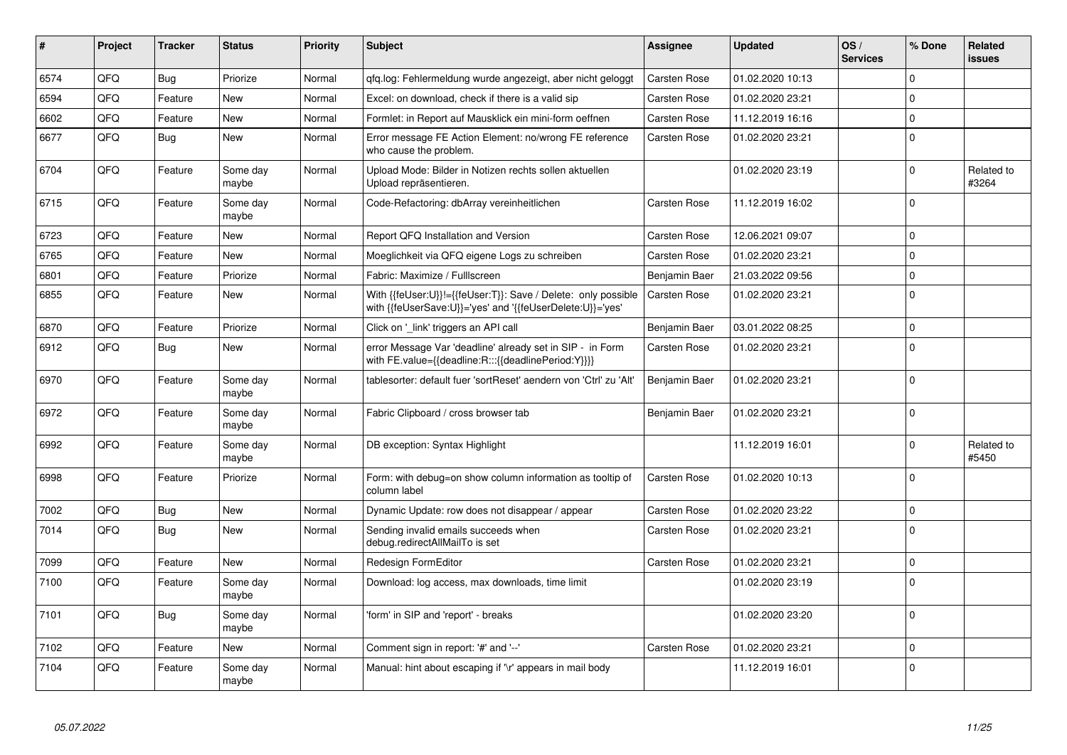| #    | Project | <b>Tracker</b> | <b>Status</b>     | <b>Priority</b> | <b>Subject</b>                                                                                                             | <b>Assignee</b>     | <b>Updated</b>   | OS/<br><b>Services</b> | % Done   | Related<br><b>issues</b> |
|------|---------|----------------|-------------------|-----------------|----------------------------------------------------------------------------------------------------------------------------|---------------------|------------------|------------------------|----------|--------------------------|
| 6574 | QFQ     | Bug            | Priorize          | Normal          | gfg.log: Fehlermeldung wurde angezeigt, aber nicht geloggt                                                                 | Carsten Rose        | 01.02.2020 10:13 |                        | $\Omega$ |                          |
| 6594 | QFQ     | Feature        | New               | Normal          | Excel: on download, check if there is a valid sip                                                                          | <b>Carsten Rose</b> | 01.02.2020 23:21 |                        | $\Omega$ |                          |
| 6602 | QFQ     | Feature        | <b>New</b>        | Normal          | Formlet: in Report auf Mausklick ein mini-form oeffnen                                                                     | Carsten Rose        | 11.12.2019 16:16 |                        | $\Omega$ |                          |
| 6677 | QFQ     | Bug            | <b>New</b>        | Normal          | Error message FE Action Element: no/wrong FE reference<br>who cause the problem.                                           | <b>Carsten Rose</b> | 01.02.2020 23:21 |                        | $\Omega$ |                          |
| 6704 | QFQ     | Feature        | Some day<br>maybe | Normal          | Upload Mode: Bilder in Notizen rechts sollen aktuellen<br>Upload repräsentieren.                                           |                     | 01.02.2020 23:19 |                        | $\Omega$ | Related to<br>#3264      |
| 6715 | QFQ     | Feature        | Some day<br>maybe | Normal          | Code-Refactoring: dbArray vereinheitlichen                                                                                 | Carsten Rose        | 11.12.2019 16:02 |                        | $\Omega$ |                          |
| 6723 | QFQ     | Feature        | <b>New</b>        | Normal          | Report QFQ Installation and Version                                                                                        | <b>Carsten Rose</b> | 12.06.2021 09:07 |                        | $\Omega$ |                          |
| 6765 | QFQ     | Feature        | <b>New</b>        | Normal          | Moeglichkeit via QFQ eigene Logs zu schreiben                                                                              | <b>Carsten Rose</b> | 01.02.2020 23:21 |                        | $\Omega$ |                          |
| 6801 | QFQ     | Feature        | Priorize          | Normal          | Fabric: Maximize / FullIscreen                                                                                             | Benjamin Baer       | 21.03.2022 09:56 |                        | $\Omega$ |                          |
| 6855 | QFQ     | Feature        | New               | Normal          | With {{feUser:U}}!={{feUser:T}}: Save / Delete: only possible<br>with {{feUserSave:U}}='yes' and '{{feUserDelete:U}}='yes' | <b>Carsten Rose</b> | 01.02.2020 23:21 |                        | $\Omega$ |                          |
| 6870 | QFQ     | Feature        | Priorize          | Normal          | Click on '_link' triggers an API call                                                                                      | Benjamin Baer       | 03.01.2022 08:25 |                        | 0        |                          |
| 6912 | QFQ     | Bug            | <b>New</b>        | Normal          | error Message Var 'deadline' already set in SIP - in Form<br>with FE.value={{deadline:R:::{{deadlinePeriod:Y}}}}           | <b>Carsten Rose</b> | 01.02.2020 23:21 |                        | $\Omega$ |                          |
| 6970 | QFQ     | Feature        | Some day<br>maybe | Normal          | tablesorter: default fuer 'sortReset' aendern von 'Ctrl' zu 'Alt'                                                          | Benjamin Baer       | 01.02.2020 23:21 |                        | $\Omega$ |                          |
| 6972 | QFQ     | Feature        | Some day<br>maybe | Normal          | Fabric Clipboard / cross browser tab                                                                                       | Benjamin Baer       | 01.02.2020 23:21 |                        | $\Omega$ |                          |
| 6992 | QFQ     | Feature        | Some day<br>maybe | Normal          | DB exception: Syntax Highlight                                                                                             |                     | 11.12.2019 16:01 |                        | $\Omega$ | Related to<br>#5450      |
| 6998 | QFQ     | Feature        | Priorize          | Normal          | Form: with debug=on show column information as tooltip of<br>column label                                                  | <b>Carsten Rose</b> | 01.02.2020 10:13 |                        | $\Omega$ |                          |
| 7002 | QFQ     | Bug            | <b>New</b>        | Normal          | Dynamic Update: row does not disappear / appear                                                                            | <b>Carsten Rose</b> | 01.02.2020 23:22 |                        | $\Omega$ |                          |
| 7014 | QFQ     | Bug            | <b>New</b>        | Normal          | Sending invalid emails succeeds when<br>debug.redirectAllMailTo is set                                                     | <b>Carsten Rose</b> | 01.02.2020 23:21 |                        | $\Omega$ |                          |
| 7099 | QFQ     | Feature        | <b>New</b>        | Normal          | Redesign FormEditor                                                                                                        | Carsten Rose        | 01.02.2020 23:21 |                        | $\Omega$ |                          |
| 7100 | QFQ     | Feature        | Some day<br>maybe | Normal          | Download: log access, max downloads, time limit                                                                            |                     | 01.02.2020 23:19 |                        | $\Omega$ |                          |
| 7101 | QFQ     | Bug            | Some day<br>maybe | Normal          | 'form' in SIP and 'report' - breaks                                                                                        |                     | 01.02.2020 23:20 |                        | $\Omega$ |                          |
| 7102 | QFQ     | Feature        | <b>New</b>        | Normal          | Comment sign in report: '#' and '--'                                                                                       | <b>Carsten Rose</b> | 01.02.2020 23:21 |                        | 0        |                          |
| 7104 | QFQ     | Feature        | Some day<br>maybe | Normal          | Manual: hint about escaping if '\r' appears in mail body                                                                   |                     | 11.12.2019 16:01 |                        | $\Omega$ |                          |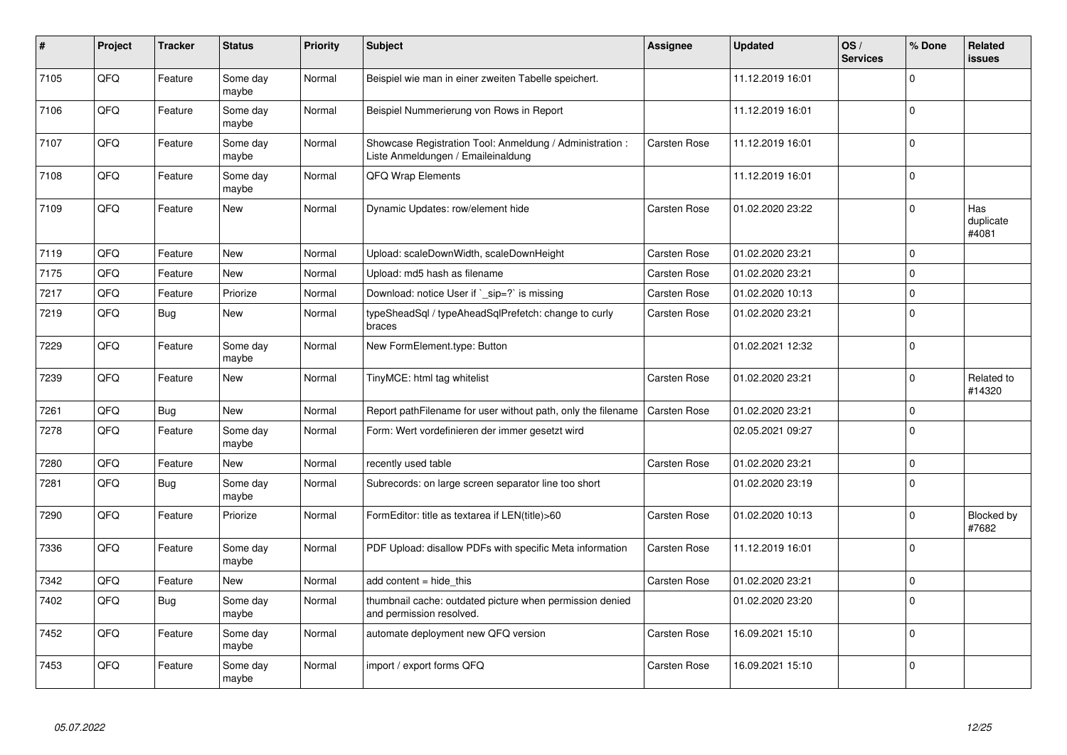| #    | Project | <b>Tracker</b> | <b>Status</b>     | <b>Priority</b> | <b>Subject</b>                                                                                 | <b>Assignee</b>     | <b>Updated</b>   | OS/<br><b>Services</b> | % Done   | Related<br>issues         |
|------|---------|----------------|-------------------|-----------------|------------------------------------------------------------------------------------------------|---------------------|------------------|------------------------|----------|---------------------------|
| 7105 | QFQ     | Feature        | Some day<br>maybe | Normal          | Beispiel wie man in einer zweiten Tabelle speichert.                                           |                     | 11.12.2019 16:01 |                        | $\Omega$ |                           |
| 7106 | QFQ     | Feature        | Some day<br>maybe | Normal          | Beispiel Nummerierung von Rows in Report                                                       |                     | 11.12.2019 16:01 |                        | $\Omega$ |                           |
| 7107 | QFQ     | Feature        | Some day<br>maybe | Normal          | Showcase Registration Tool: Anmeldung / Administration :<br>Liste Anmeldungen / Emaileinaldung | <b>Carsten Rose</b> | 11.12.2019 16:01 |                        | $\Omega$ |                           |
| 7108 | QFQ     | Feature        | Some day<br>maybe | Normal          | QFQ Wrap Elements                                                                              |                     | 11.12.2019 16:01 |                        | $\Omega$ |                           |
| 7109 | QFQ     | Feature        | <b>New</b>        | Normal          | Dynamic Updates: row/element hide                                                              | <b>Carsten Rose</b> | 01.02.2020 23:22 |                        | $\Omega$ | Has<br>duplicate<br>#4081 |
| 7119 | QFQ     | Feature        | New               | Normal          | Upload: scaleDownWidth, scaleDownHeight                                                        | Carsten Rose        | 01.02.2020 23:21 |                        | $\Omega$ |                           |
| 7175 | QFQ     | Feature        | New               | Normal          | Upload: md5 hash as filename                                                                   | Carsten Rose        | 01.02.2020 23:21 |                        | $\Omega$ |                           |
| 7217 | QFQ     | Feature        | Priorize          | Normal          | Download: notice User if `_sip=?` is missing                                                   | <b>Carsten Rose</b> | 01.02.2020 10:13 |                        | $\Omega$ |                           |
| 7219 | QFQ     | Bug            | <b>New</b>        | Normal          | typeSheadSql / typeAheadSqlPrefetch: change to curly<br>braces                                 | <b>Carsten Rose</b> | 01.02.2020 23:21 |                        | 0        |                           |
| 7229 | QFQ     | Feature        | Some day<br>maybe | Normal          | New FormElement.type: Button                                                                   |                     | 01.02.2021 12:32 |                        | $\Omega$ |                           |
| 7239 | QFQ     | Feature        | New               | Normal          | TinyMCE: html tag whitelist                                                                    | Carsten Rose        | 01.02.2020 23:21 |                        | $\Omega$ | Related to<br>#14320      |
| 7261 | QFQ     | Bug            | <b>New</b>        | Normal          | Report pathFilename for user without path, only the filename                                   | <b>Carsten Rose</b> | 01.02.2020 23:21 |                        | $\Omega$ |                           |
| 7278 | QFQ     | Feature        | Some day<br>maybe | Normal          | Form: Wert vordefinieren der immer gesetzt wird                                                |                     | 02.05.2021 09:27 |                        | $\Omega$ |                           |
| 7280 | QFQ     | Feature        | <b>New</b>        | Normal          | recently used table                                                                            | Carsten Rose        | 01.02.2020 23:21 |                        | 0        |                           |
| 7281 | QFQ     | Bug            | Some day<br>maybe | Normal          | Subrecords: on large screen separator line too short                                           |                     | 01.02.2020 23:19 |                        | $\Omega$ |                           |
| 7290 | QFQ     | Feature        | Priorize          | Normal          | FormEditor: title as textarea if LEN(title)>60                                                 | <b>Carsten Rose</b> | 01.02.2020 10:13 |                        | $\Omega$ | Blocked by<br>#7682       |
| 7336 | QFQ     | Feature        | Some day<br>maybe | Normal          | PDF Upload: disallow PDFs with specific Meta information                                       | <b>Carsten Rose</b> | 11.12.2019 16:01 |                        | $\Omega$ |                           |
| 7342 | QFQ     | Feature        | New               | Normal          | add content = hide this                                                                        | Carsten Rose        | 01.02.2020 23:21 |                        | 0        |                           |
| 7402 | QFQ     | Bug            | Some day<br>maybe | Normal          | thumbnail cache: outdated picture when permission denied<br>and permission resolved.           |                     | 01.02.2020 23:20 |                        | $\Omega$ |                           |
| 7452 | QFQ     | Feature        | Some day<br>maybe | Normal          | automate deployment new QFQ version                                                            | Carsten Rose        | 16.09.2021 15:10 |                        | $\Omega$ |                           |
| 7453 | QFQ     | Feature        | Some day<br>maybe | Normal          | import / export forms QFQ                                                                      | <b>Carsten Rose</b> | 16.09.2021 15:10 |                        | $\Omega$ |                           |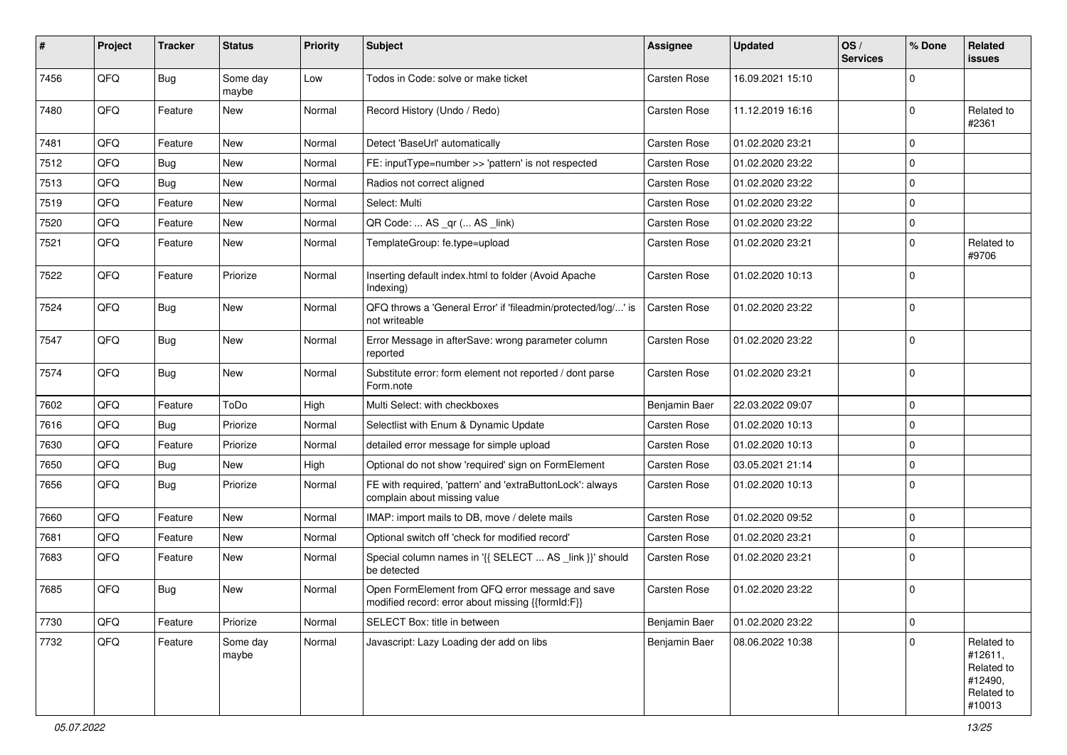| #    | Project | <b>Tracker</b> | <b>Status</b>     | <b>Priority</b> | <b>Subject</b>                                                                                        | <b>Assignee</b>     | <b>Updated</b>   | OS/<br><b>Services</b> | % Done      | Related<br>issues                                                      |
|------|---------|----------------|-------------------|-----------------|-------------------------------------------------------------------------------------------------------|---------------------|------------------|------------------------|-------------|------------------------------------------------------------------------|
| 7456 | QFQ     | Bug            | Some day<br>maybe | Low             | Todos in Code: solve or make ticket                                                                   | <b>Carsten Rose</b> | 16.09.2021 15:10 |                        | $\Omega$    |                                                                        |
| 7480 | QFQ     | Feature        | New               | Normal          | Record History (Undo / Redo)                                                                          | <b>Carsten Rose</b> | 11.12.2019 16:16 |                        | $\Omega$    | Related to<br>#2361                                                    |
| 7481 | QFQ     | Feature        | <b>New</b>        | Normal          | Detect 'BaseUrl' automatically                                                                        | <b>Carsten Rose</b> | 01.02.2020 23:21 |                        | $\Omega$    |                                                                        |
| 7512 | QFQ     | Bug            | New               | Normal          | FE: inputType=number >> 'pattern' is not respected                                                    | <b>Carsten Rose</b> | 01.02.2020 23:22 |                        | $\Omega$    |                                                                        |
| 7513 | QFQ     | Bug            | New               | Normal          | Radios not correct aligned                                                                            | <b>Carsten Rose</b> | 01.02.2020 23:22 |                        | 0           |                                                                        |
| 7519 | QFQ     | Feature        | New               | Normal          | Select: Multi                                                                                         | <b>Carsten Rose</b> | 01.02.2020 23:22 |                        | $\Omega$    |                                                                        |
| 7520 | QFQ     | Feature        | <b>New</b>        | Normal          | QR Code:  AS _qr ( AS _link)                                                                          | <b>Carsten Rose</b> | 01.02.2020 23:22 |                        | 0           |                                                                        |
| 7521 | QFQ     | Feature        | <b>New</b>        | Normal          | TemplateGroup: fe.type=upload                                                                         | Carsten Rose        | 01.02.2020 23:21 |                        | $\Omega$    | Related to<br>#9706                                                    |
| 7522 | QFQ     | Feature        | Priorize          | Normal          | Inserting default index.html to folder (Avoid Apache<br>Indexing)                                     | Carsten Rose        | 01.02.2020 10:13 |                        | $\Omega$    |                                                                        |
| 7524 | QFQ     | <b>Bug</b>     | <b>New</b>        | Normal          | QFQ throws a 'General Error' if 'fileadmin/protected/log/' is<br>not writeable                        | <b>Carsten Rose</b> | 01.02.2020 23:22 |                        | $\Omega$    |                                                                        |
| 7547 | QFQ     | Bug            | New               | Normal          | Error Message in afterSave: wrong parameter column<br>reported                                        | Carsten Rose        | 01.02.2020 23:22 |                        | $\Omega$    |                                                                        |
| 7574 | QFQ     | Bug            | New               | Normal          | Substitute error: form element not reported / dont parse<br>Form.note                                 | <b>Carsten Rose</b> | 01.02.2020 23:21 |                        | $\Omega$    |                                                                        |
| 7602 | QFQ     | Feature        | ToDo              | High            | Multi Select: with checkboxes                                                                         | Benjamin Baer       | 22.03.2022 09:07 |                        | $\mathbf 0$ |                                                                        |
| 7616 | QFQ     | Bug            | Priorize          | Normal          | Selectlist with Enum & Dynamic Update                                                                 | <b>Carsten Rose</b> | 01.02.2020 10:13 |                        | 0           |                                                                        |
| 7630 | QFQ     | Feature        | Priorize          | Normal          | detailed error message for simple upload                                                              | Carsten Rose        | 01.02.2020 10:13 |                        | $\Omega$    |                                                                        |
| 7650 | QFQ     | Bug            | <b>New</b>        | High            | Optional do not show 'required' sign on FormElement                                                   | <b>Carsten Rose</b> | 03.05.2021 21:14 |                        | 0           |                                                                        |
| 7656 | QFQ     | Bug            | Priorize          | Normal          | FE with required, 'pattern' and 'extraButtonLock': always<br>complain about missing value             | <b>Carsten Rose</b> | 01.02.2020 10:13 |                        | $\Omega$    |                                                                        |
| 7660 | QFQ     | Feature        | New               | Normal          | IMAP: import mails to DB, move / delete mails                                                         | <b>Carsten Rose</b> | 01.02.2020 09:52 |                        | 0           |                                                                        |
| 7681 | QFQ     | Feature        | New               | Normal          | Optional switch off 'check for modified record'                                                       | <b>Carsten Rose</b> | 01.02.2020 23:21 |                        | $\mathbf 0$ |                                                                        |
| 7683 | QFQ     | Feature        | New               | Normal          | Special column names in '{{ SELECT  AS _link }}' should<br>be detected                                | <b>Carsten Rose</b> | 01.02.2020 23:21 |                        | $\Omega$    |                                                                        |
| 7685 | QFQ     | Bug            | New               | Normal          | Open FormElement from QFQ error message and save<br>modified record: error about missing {{formId:F}} | <b>Carsten Rose</b> | 01.02.2020 23:22 |                        | $\Omega$    |                                                                        |
| 7730 | QFQ     | Feature        | Priorize          | Normal          | SELECT Box: title in between                                                                          | Benjamin Baer       | 01.02.2020 23:22 |                        | $\mathbf 0$ |                                                                        |
| 7732 | QFQ     | Feature        | Some day<br>maybe | Normal          | Javascript: Lazy Loading der add on libs                                                              | Benjamin Baer       | 08.06.2022 10:38 |                        | $\Omega$    | Related to<br>#12611,<br>Related to<br>#12490,<br>Related to<br>#10013 |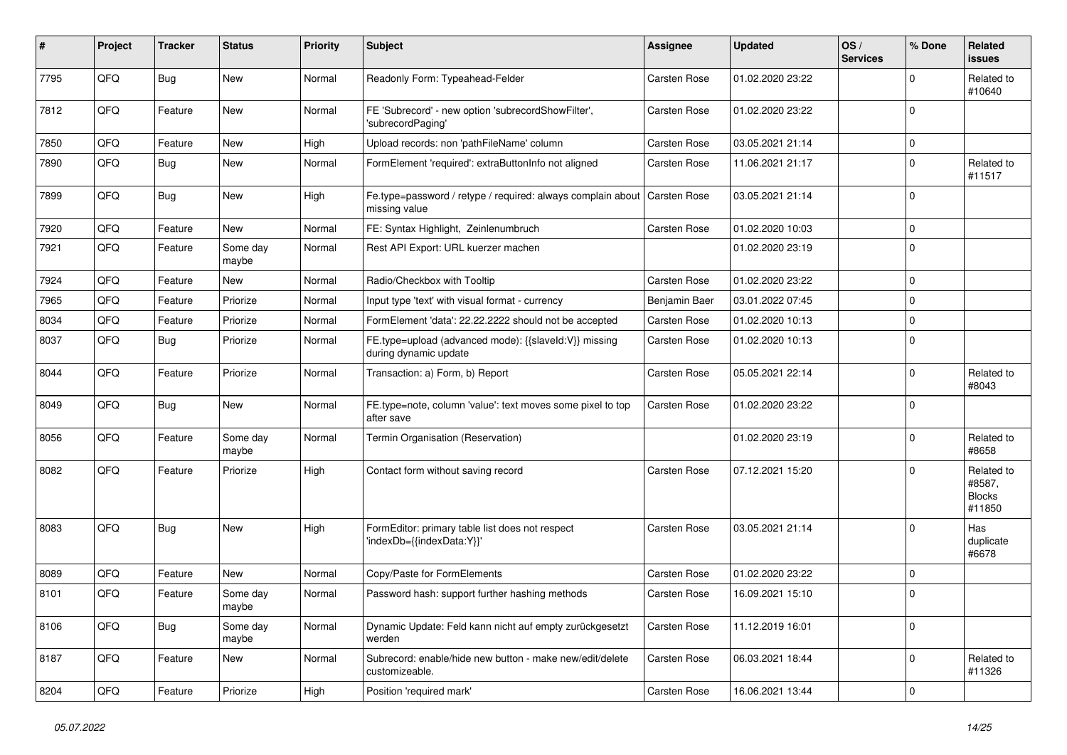| ∦    | Project | <b>Tracker</b> | <b>Status</b>     | <b>Priority</b> | <b>Subject</b>                                                                 | <b>Assignee</b>     | <b>Updated</b>   | OS/<br><b>Services</b> | % Done      | Related<br><b>issues</b>                        |
|------|---------|----------------|-------------------|-----------------|--------------------------------------------------------------------------------|---------------------|------------------|------------------------|-------------|-------------------------------------------------|
| 7795 | QFQ     | Bug            | <b>New</b>        | Normal          | Readonly Form: Typeahead-Felder                                                | <b>Carsten Rose</b> | 01.02.2020 23:22 |                        | $\Omega$    | Related to<br>#10640                            |
| 7812 | QFQ     | Feature        | New               | Normal          | FE 'Subrecord' - new option 'subrecordShowFilter',<br>'subrecordPaging'        | <b>Carsten Rose</b> | 01.02.2020 23:22 |                        | $\Omega$    |                                                 |
| 7850 | QFQ     | Feature        | <b>New</b>        | High            | Upload records: non 'pathFileName' column                                      | <b>Carsten Rose</b> | 03.05.2021 21:14 |                        | $\mathbf 0$ |                                                 |
| 7890 | QFQ     | <b>Bug</b>     | New               | Normal          | FormElement 'required': extraButtonInfo not aligned                            | <b>Carsten Rose</b> | 11.06.2021 21:17 |                        | $\Omega$    | Related to<br>#11517                            |
| 7899 | QFQ     | Bug            | <b>New</b>        | High            | Fe.type=password / retype / required: always complain about<br>missing value   | <b>Carsten Rose</b> | 03.05.2021 21:14 |                        | $\Omega$    |                                                 |
| 7920 | QFQ     | Feature        | <b>New</b>        | Normal          | FE: Syntax Highlight, Zeinlenumbruch                                           | Carsten Rose        | 01.02.2020 10:03 |                        | $\mathbf 0$ |                                                 |
| 7921 | QFQ     | Feature        | Some day<br>maybe | Normal          | Rest API Export: URL kuerzer machen                                            |                     | 01.02.2020 23:19 |                        | $\Omega$    |                                                 |
| 7924 | QFQ     | Feature        | <b>New</b>        | Normal          | Radio/Checkbox with Tooltip                                                    | <b>Carsten Rose</b> | 01.02.2020 23:22 |                        | $\mathbf 0$ |                                                 |
| 7965 | QFQ     | Feature        | Priorize          | Normal          | Input type 'text' with visual format - currency                                | Benjamin Baer       | 03.01.2022 07:45 |                        | $\Omega$    |                                                 |
| 8034 | QFQ     | Feature        | Priorize          | Normal          | FormElement 'data': 22.22.2222 should not be accepted                          | <b>Carsten Rose</b> | 01.02.2020 10:13 |                        | $\mathbf 0$ |                                                 |
| 8037 | QFQ     | Bug            | Priorize          | Normal          | FE.type=upload (advanced mode): {{slaveld:V}} missing<br>during dynamic update | Carsten Rose        | 01.02.2020 10:13 |                        | $\Omega$    |                                                 |
| 8044 | QFQ     | Feature        | Priorize          | Normal          | Transaction: a) Form, b) Report                                                | Carsten Rose        | 05.05.2021 22:14 |                        | $\Omega$    | Related to<br>#8043                             |
| 8049 | QFQ     | <b>Bug</b>     | <b>New</b>        | Normal          | FE.type=note, column 'value': text moves some pixel to top<br>after save       | <b>Carsten Rose</b> | 01.02.2020 23:22 |                        | $\Omega$    |                                                 |
| 8056 | QFQ     | Feature        | Some day<br>maybe | Normal          | Termin Organisation (Reservation)                                              |                     | 01.02.2020 23:19 |                        | $\Omega$    | Related to<br>#8658                             |
| 8082 | QFQ     | Feature        | Priorize          | High            | Contact form without saving record                                             | <b>Carsten Rose</b> | 07.12.2021 15:20 |                        | $\Omega$    | Related to<br>#8587,<br><b>Blocks</b><br>#11850 |
| 8083 | QFQ     | Bug            | <b>New</b>        | High            | FormEditor: primary table list does not respect<br>'indexDb={{indexData:Y}}'   | <b>Carsten Rose</b> | 03.05.2021 21:14 |                        | $\Omega$    | Has<br>duplicate<br>#6678                       |
| 8089 | QFQ     | Feature        | <b>New</b>        | Normal          | Copy/Paste for FormElements                                                    | <b>Carsten Rose</b> | 01.02.2020 23:22 |                        | $\mathbf 0$ |                                                 |
| 8101 | QFQ     | Feature        | Some day<br>maybe | Normal          | Password hash: support further hashing methods                                 | <b>Carsten Rose</b> | 16.09.2021 15:10 |                        | 0           |                                                 |
| 8106 | QFQ     | <b>Bug</b>     | Some day<br>maybe | Normal          | Dynamic Update: Feld kann nicht auf empty zurückgesetzt<br>werden              | <b>Carsten Rose</b> | 11.12.2019 16:01 |                        | $\mathbf 0$ |                                                 |
| 8187 | QFQ     | Feature        | New               | Normal          | Subrecord: enable/hide new button - make new/edit/delete<br>customizeable.     | Carsten Rose        | 06.03.2021 18:44 |                        | $\Omega$    | Related to<br>#11326                            |
| 8204 | QFG     | Feature        | Priorize          | High            | Position 'required mark'                                                       | Carsten Rose        | 16.06.2021 13:44 |                        | $\mathbf 0$ |                                                 |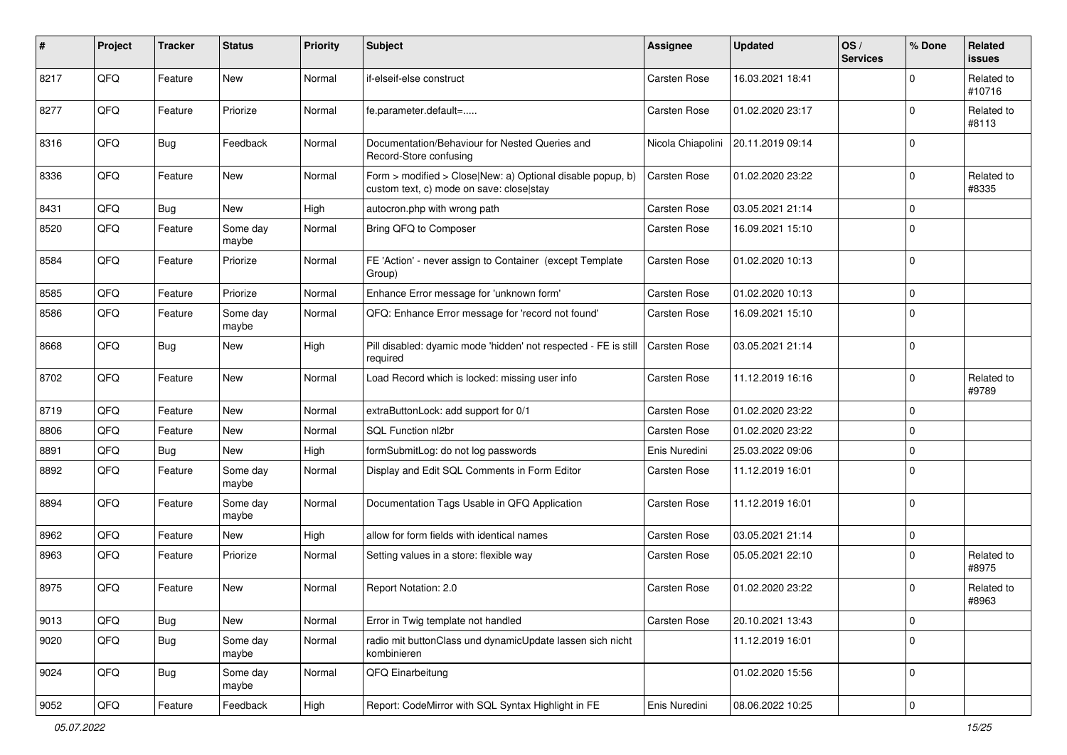| #    | Project | <b>Tracker</b> | <b>Status</b>     | <b>Priority</b> | <b>Subject</b>                                                                                         | <b>Assignee</b>     | <b>Updated</b>   | OS/<br><b>Services</b> | % Done      | Related<br>issues    |
|------|---------|----------------|-------------------|-----------------|--------------------------------------------------------------------------------------------------------|---------------------|------------------|------------------------|-------------|----------------------|
| 8217 | QFQ     | Feature        | <b>New</b>        | Normal          | if-elseif-else construct                                                                               | <b>Carsten Rose</b> | 16.03.2021 18:41 |                        | $\Omega$    | Related to<br>#10716 |
| 8277 | QFQ     | Feature        | Priorize          | Normal          | fe.parameter.default=                                                                                  | <b>Carsten Rose</b> | 01.02.2020 23:17 |                        | $\Omega$    | Related to<br>#8113  |
| 8316 | QFQ     | <b>Bug</b>     | Feedback          | Normal          | Documentation/Behaviour for Nested Queries and<br>Record-Store confusing                               | Nicola Chiapolini   | 20.11.2019 09:14 |                        | $\Omega$    |                      |
| 8336 | QFQ     | Feature        | New               | Normal          | Form > modified > Close New: a) Optional disable popup, b)<br>custom text, c) mode on save: closelstay | <b>Carsten Rose</b> | 01.02.2020 23:22 |                        | 0           | Related to<br>#8335  |
| 8431 | QFQ     | Bug            | New               | High            | autocron.php with wrong path                                                                           | <b>Carsten Rose</b> | 03.05.2021 21:14 |                        | $\Omega$    |                      |
| 8520 | QFQ     | Feature        | Some day<br>maybe | Normal          | Bring QFQ to Composer                                                                                  | Carsten Rose        | 16.09.2021 15:10 |                        | $\Omega$    |                      |
| 8584 | QFQ     | Feature        | Priorize          | Normal          | FE 'Action' - never assign to Container (except Template<br>Group)                                     | <b>Carsten Rose</b> | 01.02.2020 10:13 |                        | 0           |                      |
| 8585 | QFQ     | Feature        | Priorize          | Normal          | Enhance Error message for 'unknown form'                                                               | Carsten Rose        | 01.02.2020 10:13 |                        | 0           |                      |
| 8586 | QFQ     | Feature        | Some day<br>maybe | Normal          | QFQ: Enhance Error message for 'record not found'                                                      | <b>Carsten Rose</b> | 16.09.2021 15:10 |                        | $\Omega$    |                      |
| 8668 | QFQ     | Bug            | <b>New</b>        | High            | Pill disabled: dyamic mode 'hidden' not respected - FE is still<br>required                            | <b>Carsten Rose</b> | 03.05.2021 21:14 |                        | $\Omega$    |                      |
| 8702 | QFQ     | Feature        | <b>New</b>        | Normal          | Load Record which is locked: missing user info                                                         | Carsten Rose        | 11.12.2019 16:16 |                        | $\Omega$    | Related to<br>#9789  |
| 8719 | QFQ     | Feature        | <b>New</b>        | Normal          | extraButtonLock: add support for 0/1                                                                   | <b>Carsten Rose</b> | 01.02.2020 23:22 |                        | $\mathbf 0$ |                      |
| 8806 | QFQ     | Feature        | New               | Normal          | SQL Function nl2br                                                                                     | <b>Carsten Rose</b> | 01.02.2020 23:22 |                        | 0           |                      |
| 8891 | QFQ     | Bug            | <b>New</b>        | High            | formSubmitLog: do not log passwords                                                                    | Enis Nuredini       | 25.03.2022 09:06 |                        | 0           |                      |
| 8892 | QFQ     | Feature        | Some day<br>maybe | Normal          | Display and Edit SQL Comments in Form Editor                                                           | <b>Carsten Rose</b> | 11.12.2019 16:01 |                        | $\Omega$    |                      |
| 8894 | QFQ     | Feature        | Some day<br>maybe | Normal          | Documentation Tags Usable in QFQ Application                                                           | <b>Carsten Rose</b> | 11.12.2019 16:01 |                        | 0           |                      |
| 8962 | QFQ     | Feature        | <b>New</b>        | High            | allow for form fields with identical names                                                             | <b>Carsten Rose</b> | 03.05.2021 21:14 |                        | $\mathbf 0$ |                      |
| 8963 | QFQ     | Feature        | Priorize          | Normal          | Setting values in a store: flexible way                                                                | <b>Carsten Rose</b> | 05.05.2021 22:10 |                        | 0           | Related to<br>#8975  |
| 8975 | QFQ     | Feature        | <b>New</b>        | Normal          | Report Notation: 2.0                                                                                   | <b>Carsten Rose</b> | 01.02.2020 23:22 |                        | $\Omega$    | Related to<br>#8963  |
| 9013 | QFQ     | Bug            | New               | Normal          | Error in Twig template not handled                                                                     | Carsten Rose        | 20.10.2021 13:43 |                        | $\mathbf 0$ |                      |
| 9020 | QFQ     | <b>Bug</b>     | Some day<br>maybe | Normal          | radio mit buttonClass und dynamicUpdate lassen sich nicht<br>kombinieren                               |                     | 11.12.2019 16:01 |                        | $\mathbf 0$ |                      |
| 9024 | QFQ     | Bug            | Some day<br>maybe | Normal          | QFQ Einarbeitung                                                                                       |                     | 01.02.2020 15:56 |                        | 0           |                      |
| 9052 | QFQ     | Feature        | Feedback          | High            | Report: CodeMirror with SQL Syntax Highlight in FE                                                     | Enis Nuredini       | 08.06.2022 10:25 |                        | $\mathbf 0$ |                      |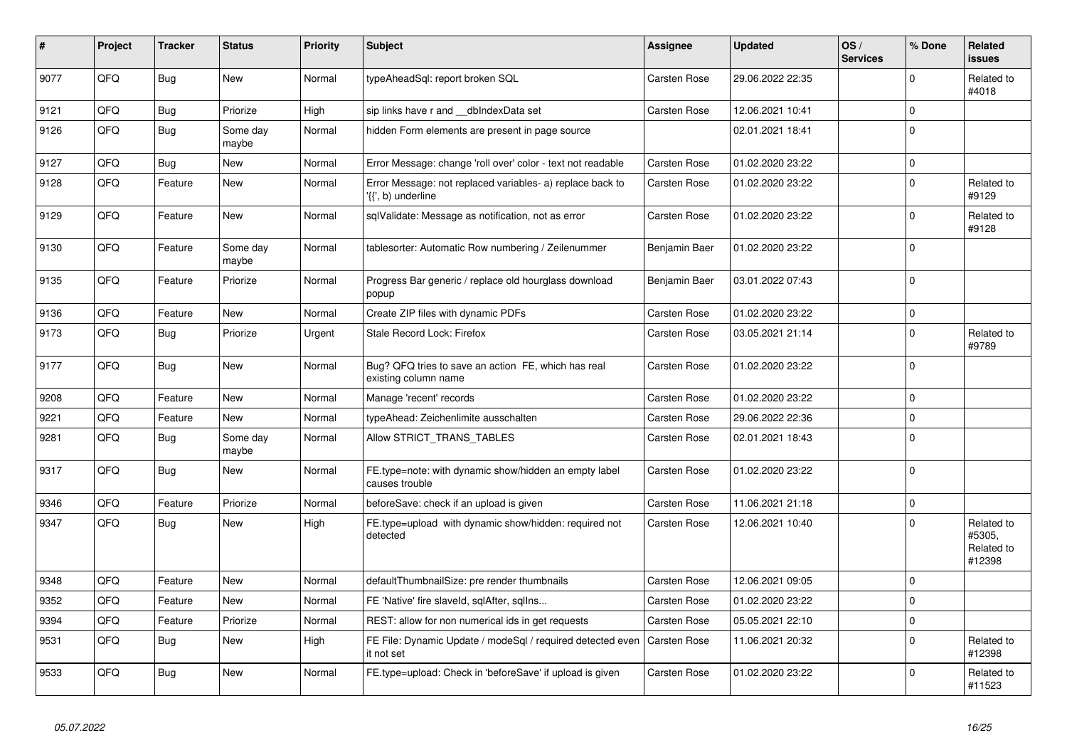| #    | Project | <b>Tracker</b> | <b>Status</b>     | <b>Priority</b> | <b>Subject</b>                                                                  | Assignee            | <b>Updated</b>   | OS/<br><b>Services</b> | % Done      | Related<br><b>issues</b>                     |
|------|---------|----------------|-------------------|-----------------|---------------------------------------------------------------------------------|---------------------|------------------|------------------------|-------------|----------------------------------------------|
| 9077 | QFQ     | <b>Bug</b>     | <b>New</b>        | Normal          | typeAheadSgl: report broken SQL                                                 | <b>Carsten Rose</b> | 29.06.2022 22:35 |                        | $\Omega$    | Related to<br>#4018                          |
| 9121 | QFQ     | <b>Bug</b>     | Priorize          | High            | sip links have r and __dbIndexData set                                          | <b>Carsten Rose</b> | 12.06.2021 10:41 |                        | $\mathbf 0$ |                                              |
| 9126 | QFQ     | <b>Bug</b>     | Some day<br>maybe | Normal          | hidden Form elements are present in page source                                 |                     | 02.01.2021 18:41 |                        | $\Omega$    |                                              |
| 9127 | QFQ     | <b>Bug</b>     | <b>New</b>        | Normal          | Error Message: change 'roll over' color - text not readable                     | <b>Carsten Rose</b> | 01.02.2020 23:22 |                        | $\mathbf 0$ |                                              |
| 9128 | QFQ     | Feature        | New               | Normal          | Error Message: not replaced variables- a) replace back to<br>'{{', b) underline | <b>Carsten Rose</b> | 01.02.2020 23:22 |                        | $\Omega$    | Related to<br>#9129                          |
| 9129 | QFQ     | Feature        | <b>New</b>        | Normal          | sqlValidate: Message as notification, not as error                              | <b>Carsten Rose</b> | 01.02.2020 23:22 |                        | $\Omega$    | Related to<br>#9128                          |
| 9130 | QFQ     | Feature        | Some day<br>maybe | Normal          | tablesorter: Automatic Row numbering / Zeilenummer                              | Benjamin Baer       | 01.02.2020 23:22 |                        | $\Omega$    |                                              |
| 9135 | QFQ     | Feature        | Priorize          | Normal          | Progress Bar generic / replace old hourglass download<br>popup                  | Benjamin Baer       | 03.01.2022 07:43 |                        | $\Omega$    |                                              |
| 9136 | QFQ     | Feature        | <b>New</b>        | Normal          | Create ZIP files with dynamic PDFs                                              | <b>Carsten Rose</b> | 01.02.2020 23:22 |                        | $\mathbf 0$ |                                              |
| 9173 | QFQ     | <b>Bug</b>     | Priorize          | Urgent          | Stale Record Lock: Firefox                                                      | <b>Carsten Rose</b> | 03.05.2021 21:14 |                        | $\Omega$    | Related to<br>#9789                          |
| 9177 | QFQ     | Bug            | <b>New</b>        | Normal          | Bug? QFQ tries to save an action FE, which has real<br>existing column name     | <b>Carsten Rose</b> | 01.02.2020 23:22 |                        | $\Omega$    |                                              |
| 9208 | QFQ     | Feature        | New               | Normal          | Manage 'recent' records                                                         | Carsten Rose        | 01.02.2020 23:22 |                        | $\Omega$    |                                              |
| 9221 | QFQ     | Feature        | New               | Normal          | typeAhead: Zeichenlimite ausschalten                                            | <b>Carsten Rose</b> | 29.06.2022 22:36 |                        | $\Omega$    |                                              |
| 9281 | QFQ     | Bug            | Some day<br>maybe | Normal          | Allow STRICT TRANS TABLES                                                       | Carsten Rose        | 02.01.2021 18:43 |                        | $\mathbf 0$ |                                              |
| 9317 | QFQ     | Bug            | <b>New</b>        | Normal          | FE.type=note: with dynamic show/hidden an empty label<br>causes trouble         | <b>Carsten Rose</b> | 01.02.2020 23:22 |                        | $\Omega$    |                                              |
| 9346 | QFQ     | Feature        | Priorize          | Normal          | beforeSave: check if an upload is given                                         | <b>Carsten Rose</b> | 11.06.2021 21:18 |                        | $\Omega$    |                                              |
| 9347 | QFQ     | <b>Bug</b>     | <b>New</b>        | High            | FE.type=upload with dynamic show/hidden: required not<br>detected               | Carsten Rose        | 12.06.2021 10:40 |                        | $\Omega$    | Related to<br>#5305,<br>Related to<br>#12398 |
| 9348 | QFQ     | Feature        | <b>New</b>        | Normal          | defaultThumbnailSize: pre render thumbnails                                     | <b>Carsten Rose</b> | 12.06.2021 09:05 |                        | $\Omega$    |                                              |
| 9352 | QFQ     | Feature        | <b>New</b>        | Normal          | FE 'Native' fire slaveld, sqlAfter, sqllns                                      | Carsten Rose        | 01.02.2020 23:22 |                        | $\mathbf 0$ |                                              |
| 9394 | QFQ     | Feature        | Priorize          | Normal          | REST: allow for non numerical ids in get requests                               | <b>Carsten Rose</b> | 05.05.2021 22:10 |                        | $\Omega$    |                                              |
| 9531 | QFQ     | Bug            | <b>New</b>        | High            | FE File: Dynamic Update / modeSql / required detected even<br>it not set        | <b>Carsten Rose</b> | 11.06.2021 20:32 |                        | $\Omega$    | Related to<br>#12398                         |
| 9533 | QFQ     | <b>Bug</b>     | New               | Normal          | FE.type=upload: Check in 'beforeSave' if upload is given                        | Carsten Rose        | 01.02.2020 23:22 |                        | $\Omega$    | Related to<br>#11523                         |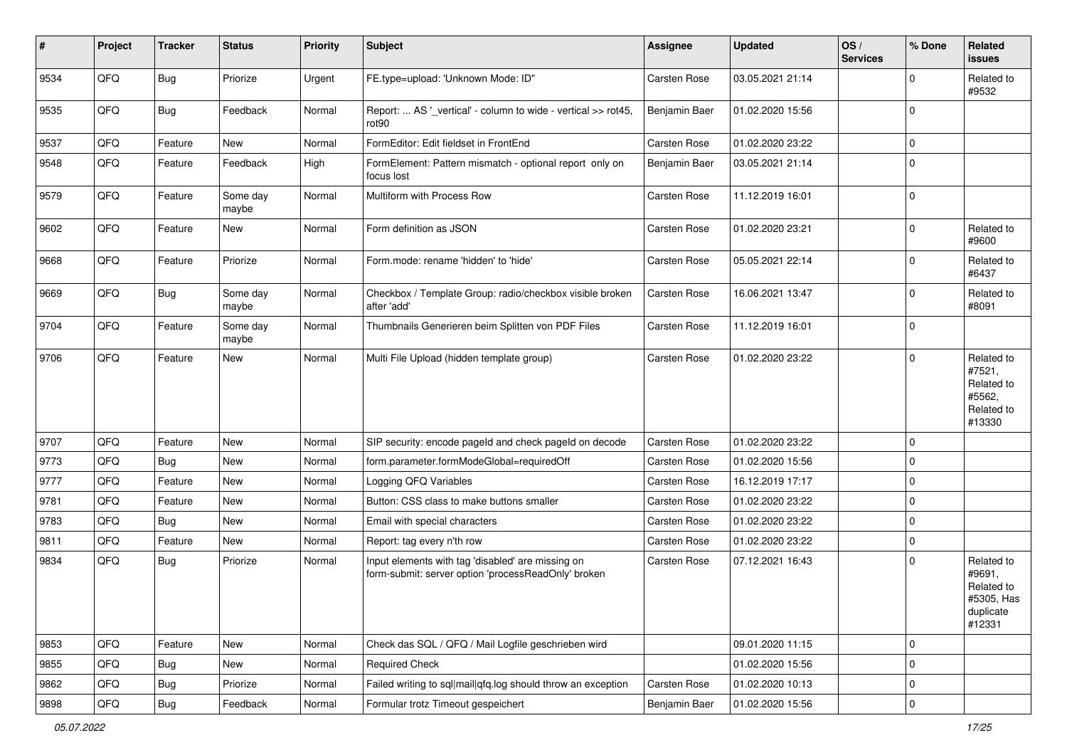| #    | Project | <b>Tracker</b> | <b>Status</b>     | <b>Priority</b> | <b>Subject</b>                                                                                           | <b>Assignee</b>     | <b>Updated</b>   | OS/<br><b>Services</b> | % Done      | Related<br>issues                                                       |
|------|---------|----------------|-------------------|-----------------|----------------------------------------------------------------------------------------------------------|---------------------|------------------|------------------------|-------------|-------------------------------------------------------------------------|
| 9534 | QFQ     | Bug            | Priorize          | Urgent          | FE.type=upload: 'Unknown Mode: ID"                                                                       | Carsten Rose        | 03.05.2021 21:14 |                        | $\Omega$    | Related to<br>#9532                                                     |
| 9535 | QFQ     | Bug            | Feedback          | Normal          | Report:  AS '_vertical' - column to wide - vertical >> rot45,<br>rot <sub>90</sub>                       | Benjamin Baer       | 01.02.2020 15:56 |                        | $\Omega$    |                                                                         |
| 9537 | QFQ     | Feature        | <b>New</b>        | Normal          | FormEditor: Edit fieldset in FrontEnd                                                                    | <b>Carsten Rose</b> | 01.02.2020 23:22 |                        | $\Omega$    |                                                                         |
| 9548 | QFQ     | Feature        | Feedback          | High            | FormElement: Pattern mismatch - optional report only on<br>focus lost                                    | Benjamin Baer       | 03.05.2021 21:14 |                        | $\Omega$    |                                                                         |
| 9579 | QFQ     | Feature        | Some day<br>maybe | Normal          | Multiform with Process Row                                                                               | Carsten Rose        | 11.12.2019 16:01 |                        | $\Omega$    |                                                                         |
| 9602 | QFQ     | Feature        | <b>New</b>        | Normal          | Form definition as JSON                                                                                  | Carsten Rose        | 01.02.2020 23:21 |                        | $\mathbf 0$ | Related to<br>#9600                                                     |
| 9668 | QFQ     | Feature        | Priorize          | Normal          | Form.mode: rename 'hidden' to 'hide'                                                                     | <b>Carsten Rose</b> | 05.05.2021 22:14 |                        | $\mathbf 0$ | Related to<br>#6437                                                     |
| 9669 | QFQ     | Bug            | Some day<br>maybe | Normal          | Checkbox / Template Group: radio/checkbox visible broken<br>after 'add'                                  | <b>Carsten Rose</b> | 16.06.2021 13:47 |                        | $\Omega$    | Related to<br>#8091                                                     |
| 9704 | QFQ     | Feature        | Some day<br>maybe | Normal          | Thumbnails Generieren beim Splitten von PDF Files                                                        | <b>Carsten Rose</b> | 11.12.2019 16:01 |                        | $\Omega$    |                                                                         |
| 9706 | QFQ     | Feature        | <b>New</b>        | Normal          | Multi File Upload (hidden template group)                                                                | <b>Carsten Rose</b> | 01.02.2020 23:22 |                        | $\Omega$    | Related to<br>#7521,<br>Related to<br>#5562,<br>Related to<br>#13330    |
| 9707 | QFQ     | Feature        | <b>New</b>        | Normal          | SIP security: encode pageld and check pageld on decode                                                   | <b>Carsten Rose</b> | 01.02.2020 23:22 |                        | $\Omega$    |                                                                         |
| 9773 | QFQ     | Bug            | <b>New</b>        | Normal          | form.parameter.formModeGlobal=requiredOff                                                                | Carsten Rose        | 01.02.2020 15:56 |                        | $\Omega$    |                                                                         |
| 9777 | QFQ     | Feature        | <b>New</b>        | Normal          | Logging QFQ Variables                                                                                    | <b>Carsten Rose</b> | 16.12.2019 17:17 |                        | $\Omega$    |                                                                         |
| 9781 | QFQ     | Feature        | <b>New</b>        | Normal          | Button: CSS class to make buttons smaller                                                                | Carsten Rose        | 01.02.2020 23:22 |                        | $\mathbf 0$ |                                                                         |
| 9783 | QFQ     | <b>Bug</b>     | <b>New</b>        | Normal          | Email with special characters                                                                            | <b>Carsten Rose</b> | 01.02.2020 23:22 |                        | $\Omega$    |                                                                         |
| 9811 | QFQ     | Feature        | <b>New</b>        | Normal          | Report: tag every n'th row                                                                               | <b>Carsten Rose</b> | 01.02.2020 23:22 |                        | 0           |                                                                         |
| 9834 | QFQ     | Bug            | Priorize          | Normal          | Input elements with tag 'disabled' are missing on<br>form-submit: server option 'processReadOnly' broken | Carsten Rose        | 07.12.2021 16:43 |                        | $\Omega$    | Related to<br>#9691,<br>Related to<br>#5305, Has<br>duplicate<br>#12331 |
| 9853 | QFQ     | Feature        | New               | Normal          | Check das SQL / QFQ / Mail Logfile geschrieben wird                                                      |                     | 09.01.2020 11:15 |                        | $\mathbf 0$ |                                                                         |
| 9855 | QFQ     | <b>Bug</b>     | New               | Normal          | <b>Required Check</b>                                                                                    |                     | 01.02.2020 15:56 |                        | $\mathbf 0$ |                                                                         |
| 9862 | QFQ     | <b>Bug</b>     | Priorize          | Normal          | Failed writing to sql mail qfq.log should throw an exception                                             | Carsten Rose        | 01.02.2020 10:13 |                        | 0           |                                                                         |
| 9898 | QFQ     | Bug            | Feedback          | Normal          | Formular trotz Timeout gespeichert                                                                       | Benjamin Baer       | 01.02.2020 15:56 |                        | $\mathbf 0$ |                                                                         |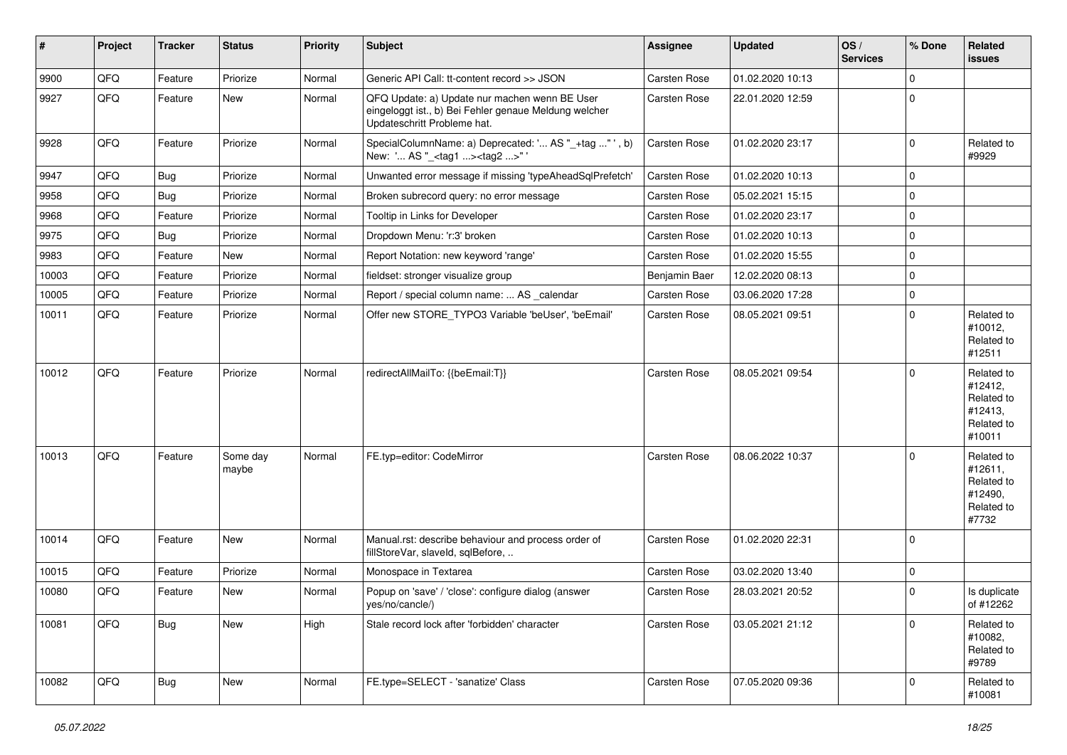| #     | Project | <b>Tracker</b> | <b>Status</b>     | <b>Priority</b> | <b>Subject</b>                                                                                                                        | Assignee            | <b>Updated</b>   | OS/<br><b>Services</b> | % Done      | Related<br>issues                                                      |
|-------|---------|----------------|-------------------|-----------------|---------------------------------------------------------------------------------------------------------------------------------------|---------------------|------------------|------------------------|-------------|------------------------------------------------------------------------|
| 9900  | QFQ     | Feature        | Priorize          | Normal          | Generic API Call: tt-content record >> JSON                                                                                           | <b>Carsten Rose</b> | 01.02.2020 10:13 |                        | $\mathbf 0$ |                                                                        |
| 9927  | QFQ     | Feature        | New               | Normal          | QFQ Update: a) Update nur machen wenn BE User<br>eingeloggt ist., b) Bei Fehler genaue Meldung welcher<br>Updateschritt Probleme hat. | <b>Carsten Rose</b> | 22.01.2020 12:59 |                        | $\mathbf 0$ |                                                                        |
| 9928  | QFQ     | Feature        | Priorize          | Normal          | SpecialColumnName: a) Deprecated: ' AS "_+tag " ', b)<br>New: ' AS "_ <tag1><tag2>"</tag2></tag1>                                     | <b>Carsten Rose</b> | 01.02.2020 23:17 |                        | $\mathbf 0$ | Related to<br>#9929                                                    |
| 9947  | QFQ     | Bug            | Priorize          | Normal          | Unwanted error message if missing 'typeAheadSqlPrefetch'                                                                              | Carsten Rose        | 01.02.2020 10:13 |                        | $\mathbf 0$ |                                                                        |
| 9958  | QFQ     | Bug            | Priorize          | Normal          | Broken subrecord query: no error message                                                                                              | Carsten Rose        | 05.02.2021 15:15 |                        | $\mathbf 0$ |                                                                        |
| 9968  | QFQ     | Feature        | Priorize          | Normal          | Tooltip in Links for Developer                                                                                                        | <b>Carsten Rose</b> | 01.02.2020 23:17 |                        | $\mathbf 0$ |                                                                        |
| 9975  | QFQ     | Bug            | Priorize          | Normal          | Dropdown Menu: 'r:3' broken                                                                                                           | Carsten Rose        | 01.02.2020 10:13 |                        | $\mathbf 0$ |                                                                        |
| 9983  | QFQ     | Feature        | New               | Normal          | Report Notation: new keyword 'range'                                                                                                  | Carsten Rose        | 01.02.2020 15:55 |                        | $\mathbf 0$ |                                                                        |
| 10003 | QFQ     | Feature        | Priorize          | Normal          | fieldset: stronger visualize group                                                                                                    | Benjamin Baer       | 12.02.2020 08:13 |                        | $\mathbf 0$ |                                                                        |
| 10005 | QFQ     | Feature        | Priorize          | Normal          | Report / special column name:  AS calendar                                                                                            | Carsten Rose        | 03.06.2020 17:28 |                        | $\mathbf 0$ |                                                                        |
| 10011 | QFQ     | Feature        | Priorize          | Normal          | Offer new STORE_TYPO3 Variable 'beUser', 'beEmail'                                                                                    | <b>Carsten Rose</b> | 08.05.2021 09:51 |                        | $\mathbf 0$ | Related to<br>#10012,<br>Related to<br>#12511                          |
| 10012 | QFQ     | Feature        | Priorize          | Normal          | redirectAllMailTo: {{beEmail:T}}                                                                                                      | <b>Carsten Rose</b> | 08.05.2021 09:54 |                        | 0           | Related to<br>#12412,<br>Related to<br>#12413,<br>Related to<br>#10011 |
| 10013 | QFQ     | Feature        | Some day<br>maybe | Normal          | FE.typ=editor: CodeMirror                                                                                                             | Carsten Rose        | 08.06.2022 10:37 |                        | $\Omega$    | Related to<br>#12611,<br>Related to<br>#12490,<br>Related to<br>#7732  |
| 10014 | QFQ     | Feature        | New               | Normal          | Manual.rst: describe behaviour and process order of<br>fillStoreVar, slaveId, sqlBefore,                                              | Carsten Rose        | 01.02.2020 22:31 |                        | 0           |                                                                        |
| 10015 | QFQ     | Feature        | Priorize          | Normal          | Monospace in Textarea                                                                                                                 | Carsten Rose        | 03.02.2020 13:40 |                        | $\mathbf 0$ |                                                                        |
| 10080 | QFQ     | Feature        | New               | Normal          | Popup on 'save' / 'close': configure dialog (answer<br>yes/no/cancle/)                                                                | Carsten Rose        | 28.03.2021 20:52 |                        | $\mathbf 0$ | Is duplicate<br>of #12262                                              |
| 10081 | QFQ     | Bug            | New               | High            | Stale record lock after 'forbidden' character                                                                                         | Carsten Rose        | 03.05.2021 21:12 |                        | $\Omega$    | Related to<br>#10082,<br>Related to<br>#9789                           |
| 10082 | QFQ     | Bug            | New               | Normal          | FE.type=SELECT - 'sanatize' Class                                                                                                     | Carsten Rose        | 07.05.2020 09:36 |                        | $\Omega$    | Related to<br>#10081                                                   |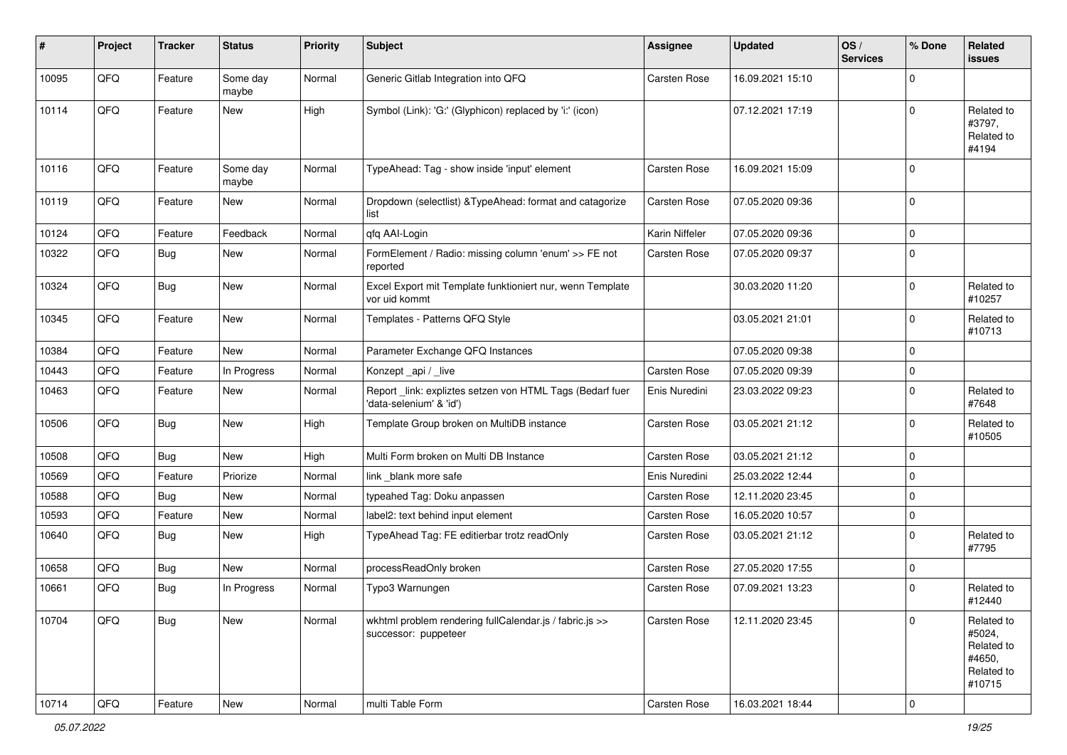| $\sharp$ | Project | <b>Tracker</b> | <b>Status</b>     | <b>Priority</b> | Subject                                                                             | <b>Assignee</b>     | Updated          | OS/<br><b>Services</b> | % Done      | Related<br><b>issues</b>                                             |
|----------|---------|----------------|-------------------|-----------------|-------------------------------------------------------------------------------------|---------------------|------------------|------------------------|-------------|----------------------------------------------------------------------|
| 10095    | QFQ     | Feature        | Some day<br>maybe | Normal          | Generic Gitlab Integration into QFQ                                                 | Carsten Rose        | 16.09.2021 15:10 |                        | $\Omega$    |                                                                      |
| 10114    | QFQ     | Feature        | New               | High            | Symbol (Link): 'G:' (Glyphicon) replaced by 'i:' (icon)                             |                     | 07.12.2021 17:19 |                        | $\mathbf 0$ | Related to<br>#3797,<br>Related to<br>#4194                          |
| 10116    | QFQ     | Feature        | Some day<br>maybe | Normal          | TypeAhead: Tag - show inside 'input' element                                        | <b>Carsten Rose</b> | 16.09.2021 15:09 |                        | $\Omega$    |                                                                      |
| 10119    | QFQ     | Feature        | <b>New</b>        | Normal          | Dropdown (selectlist) & TypeAhead: format and catagorize<br>list                    | <b>Carsten Rose</b> | 07.05.2020 09:36 |                        | 0           |                                                                      |
| 10124    | QFQ     | Feature        | Feedback          | Normal          | qfq AAI-Login                                                                       | Karin Niffeler      | 07.05.2020 09:36 |                        | $\Omega$    |                                                                      |
| 10322    | QFQ     | Bug            | New               | Normal          | FormElement / Radio: missing column 'enum' >> FE not<br>reported                    | <b>Carsten Rose</b> | 07.05.2020 09:37 |                        | $\Omega$    |                                                                      |
| 10324    | QFQ     | Bug            | <b>New</b>        | Normal          | Excel Export mit Template funktioniert nur, wenn Template<br>vor uid kommt          |                     | 30.03.2020 11:20 |                        | $\Omega$    | Related to<br>#10257                                                 |
| 10345    | QFQ     | Feature        | New               | Normal          | Templates - Patterns QFQ Style                                                      |                     | 03.05.2021 21:01 |                        | $\Omega$    | Related to<br>#10713                                                 |
| 10384    | QFQ     | Feature        | <b>New</b>        | Normal          | Parameter Exchange QFQ Instances                                                    |                     | 07.05.2020 09:38 |                        | $\mathbf 0$ |                                                                      |
| 10443    | QFQ     | Feature        | In Progress       | Normal          | Konzept_api / _live                                                                 | Carsten Rose        | 07.05.2020 09:39 |                        | 0           |                                                                      |
| 10463    | QFQ     | Feature        | New               | Normal          | Report_link: expliztes setzen von HTML Tags (Bedarf fuer<br>'data-selenium' & 'id') | Enis Nuredini       | 23.03.2022 09:23 |                        | $\Omega$    | Related to<br>#7648                                                  |
| 10506    | QFQ     | Bug            | <b>New</b>        | High            | Template Group broken on MultiDB instance                                           | <b>Carsten Rose</b> | 03.05.2021 21:12 |                        | $\Omega$    | Related to<br>#10505                                                 |
| 10508    | QFQ     | Bug            | New               | High            | Multi Form broken on Multi DB Instance                                              | <b>Carsten Rose</b> | 03.05.2021 21:12 |                        | $\mathbf 0$ |                                                                      |
| 10569    | QFQ     | Feature        | Priorize          | Normal          | link blank more safe                                                                | Enis Nuredini       | 25.03.2022 12:44 |                        | $\mathbf 0$ |                                                                      |
| 10588    | QFQ     | Bug            | New               | Normal          | typeahed Tag: Doku anpassen                                                         | <b>Carsten Rose</b> | 12.11.2020 23:45 |                        | $\mathbf 0$ |                                                                      |
| 10593    | QFQ     | Feature        | New               | Normal          | label2: text behind input element                                                   | Carsten Rose        | 16.05.2020 10:57 |                        | $\mathbf 0$ |                                                                      |
| 10640    | QFQ     | Bug            | New               | High            | TypeAhead Tag: FE editierbar trotz readOnly                                         | <b>Carsten Rose</b> | 03.05.2021 21:12 |                        | $\mathbf 0$ | Related to<br>#7795                                                  |
| 10658    | QFQ     | <b>Bug</b>     | New               | Normal          | processReadOnly broken                                                              | <b>Carsten Rose</b> | 27.05.2020 17:55 |                        | $\mathbf 0$ |                                                                      |
| 10661    | QFQ     | <b>Bug</b>     | In Progress       | Normal          | Typo3 Warnungen                                                                     | <b>Carsten Rose</b> | 07.09.2021 13:23 |                        | $\Omega$    | Related to<br>#12440                                                 |
| 10704    | QFQ     | <b>Bug</b>     | New               | Normal          | wkhtml problem rendering fullCalendar.js / fabric.js >><br>successor: puppeteer     | Carsten Rose        | 12.11.2020 23:45 |                        | $\mathbf 0$ | Related to<br>#5024,<br>Related to<br>#4650,<br>Related to<br>#10715 |
| 10714    | QFG     | Feature        | New               | Normal          | multi Table Form                                                                    | Carsten Rose        | 16.03.2021 18:44 |                        | 0           |                                                                      |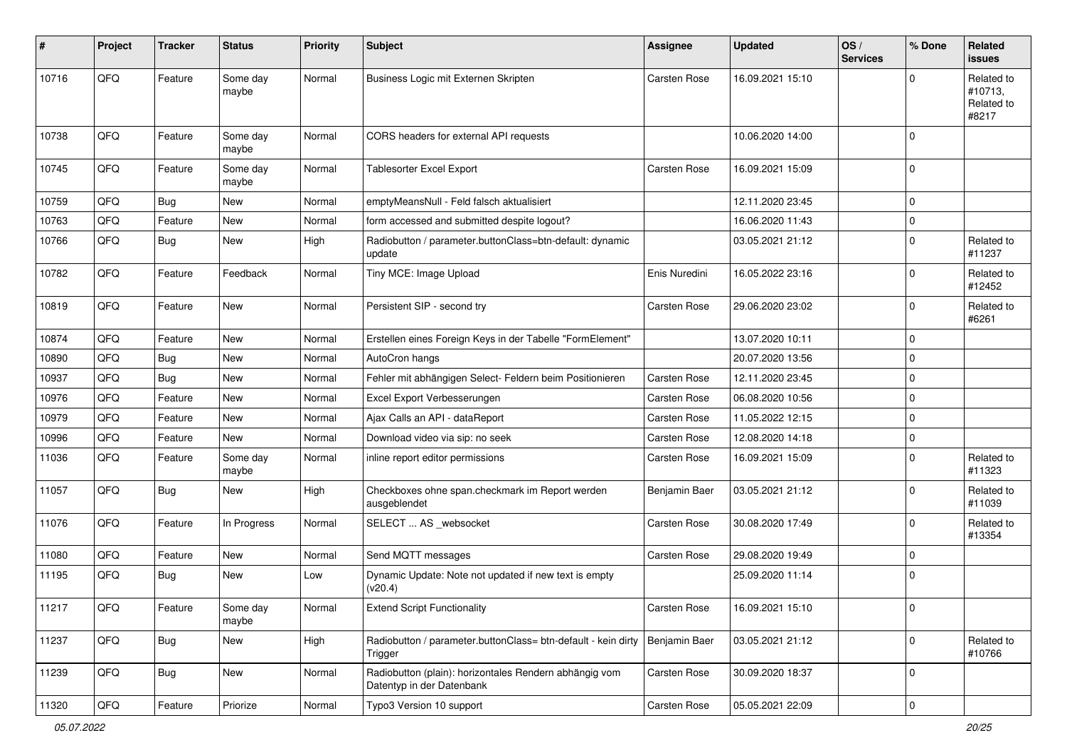| $\sharp$ | Project | <b>Tracker</b> | <b>Status</b>     | <b>Priority</b> | <b>Subject</b>                                                                      | <b>Assignee</b>     | <b>Updated</b>   | OS/<br><b>Services</b> | % Done              | Related<br><b>issues</b>                     |
|----------|---------|----------------|-------------------|-----------------|-------------------------------------------------------------------------------------|---------------------|------------------|------------------------|---------------------|----------------------------------------------|
| 10716    | QFQ     | Feature        | Some day<br>maybe | Normal          | Business Logic mit Externen Skripten                                                | Carsten Rose        | 16.09.2021 15:10 |                        | O                   | Related to<br>#10713,<br>Related to<br>#8217 |
| 10738    | QFQ     | Feature        | Some day<br>maybe | Normal          | CORS headers for external API requests                                              |                     | 10.06.2020 14:00 |                        | $\Omega$            |                                              |
| 10745    | QFQ     | Feature        | Some day<br>maybe | Normal          | Tablesorter Excel Export                                                            | <b>Carsten Rose</b> | 16.09.2021 15:09 |                        | $\Omega$            |                                              |
| 10759    | QFQ     | <b>Bug</b>     | <b>New</b>        | Normal          | emptyMeansNull - Feld falsch aktualisiert                                           |                     | 12.11.2020 23:45 |                        | $\mathbf 0$         |                                              |
| 10763    | QFQ     | Feature        | New               | Normal          | form accessed and submitted despite logout?                                         |                     | 16.06.2020 11:43 |                        | 0                   |                                              |
| 10766    | QFQ     | Bug            | <b>New</b>        | High            | Radiobutton / parameter.buttonClass=btn-default: dynamic<br>update                  |                     | 03.05.2021 21:12 |                        | $\Omega$            | Related to<br>#11237                         |
| 10782    | QFQ     | Feature        | Feedback          | Normal          | Tiny MCE: Image Upload                                                              | Enis Nuredini       | 16.05.2022 23:16 |                        | $\Omega$            | Related to<br>#12452                         |
| 10819    | QFQ     | Feature        | New               | Normal          | Persistent SIP - second try                                                         | <b>Carsten Rose</b> | 29.06.2020 23:02 |                        | $\Omega$            | Related to<br>#6261                          |
| 10874    | QFQ     | Feature        | <b>New</b>        | Normal          | Erstellen eines Foreign Keys in der Tabelle "FormElement"                           |                     | 13.07.2020 10:11 |                        | $\mathbf 0$         |                                              |
| 10890    | QFQ     | Bug            | New               | Normal          | AutoCron hangs                                                                      |                     | 20.07.2020 13:56 |                        | $\mathbf 0$         |                                              |
| 10937    | QFQ     | Bug            | New               | Normal          | Fehler mit abhängigen Select- Feldern beim Positionieren                            | <b>Carsten Rose</b> | 12.11.2020 23:45 |                        | $\Omega$            |                                              |
| 10976    | QFQ     | Feature        | <b>New</b>        | Normal          | Excel Export Verbesserungen                                                         | <b>Carsten Rose</b> | 06.08.2020 10:56 |                        | $\mathbf 0$         |                                              |
| 10979    | QFQ     | Feature        | New               | Normal          | Ajax Calls an API - dataReport                                                      | <b>Carsten Rose</b> | 11.05.2022 12:15 |                        | $\mathbf 0$         |                                              |
| 10996    | QFQ     | Feature        | New               | Normal          | Download video via sip: no seek                                                     | Carsten Rose        | 12.08.2020 14:18 |                        | $\Omega$            |                                              |
| 11036    | QFQ     | Feature        | Some day<br>maybe | Normal          | inline report editor permissions                                                    | <b>Carsten Rose</b> | 16.09.2021 15:09 |                        | $\Omega$            | Related to<br>#11323                         |
| 11057    | QFQ     | Bug            | <b>New</b>        | High            | Checkboxes ohne span.checkmark im Report werden<br>ausgeblendet                     | Benjamin Baer       | 03.05.2021 21:12 |                        | 0                   | Related to<br>#11039                         |
| 11076    | QFQ     | Feature        | In Progress       | Normal          | SELECT  AS _websocket                                                               | <b>Carsten Rose</b> | 30.08.2020 17:49 |                        | $\Omega$            | Related to<br>#13354                         |
| 11080    | QFQ     | Feature        | New               | Normal          | Send MQTT messages                                                                  | Carsten Rose        | 29.08.2020 19:49 |                        | $\mathbf 0$         |                                              |
| 11195    | QFQ     | Bug            | New               | Low             | Dynamic Update: Note not updated if new text is empty<br>(v20.4)                    |                     | 25.09.2020 11:14 |                        | $\mathbf 0$         |                                              |
| 11217    | QFQ     | Feature        | Some day<br>maybe | Normal          | <b>Extend Script Functionality</b>                                                  | Carsten Rose        | 16.09.2021 15:10 |                        | 0                   |                                              |
| 11237    | QFQ     | Bug            | New               | High            | Radiobutton / parameter.buttonClass= btn-default - kein dirty<br>Trigger            | Benjamin Baer       | 03.05.2021 21:12 |                        | $\mathbf 0$         | Related to<br>#10766                         |
| 11239    | QFQ     | Bug            | New               | Normal          | Radiobutton (plain): horizontales Rendern abhängig vom<br>Datentyp in der Datenbank | Carsten Rose        | 30.09.2020 18:37 |                        | 0                   |                                              |
| 11320    | QFG     | Feature        | Priorize          | Normal          | Typo3 Version 10 support                                                            | Carsten Rose        | 05.05.2021 22:09 |                        | $\mathsf{O}\xspace$ |                                              |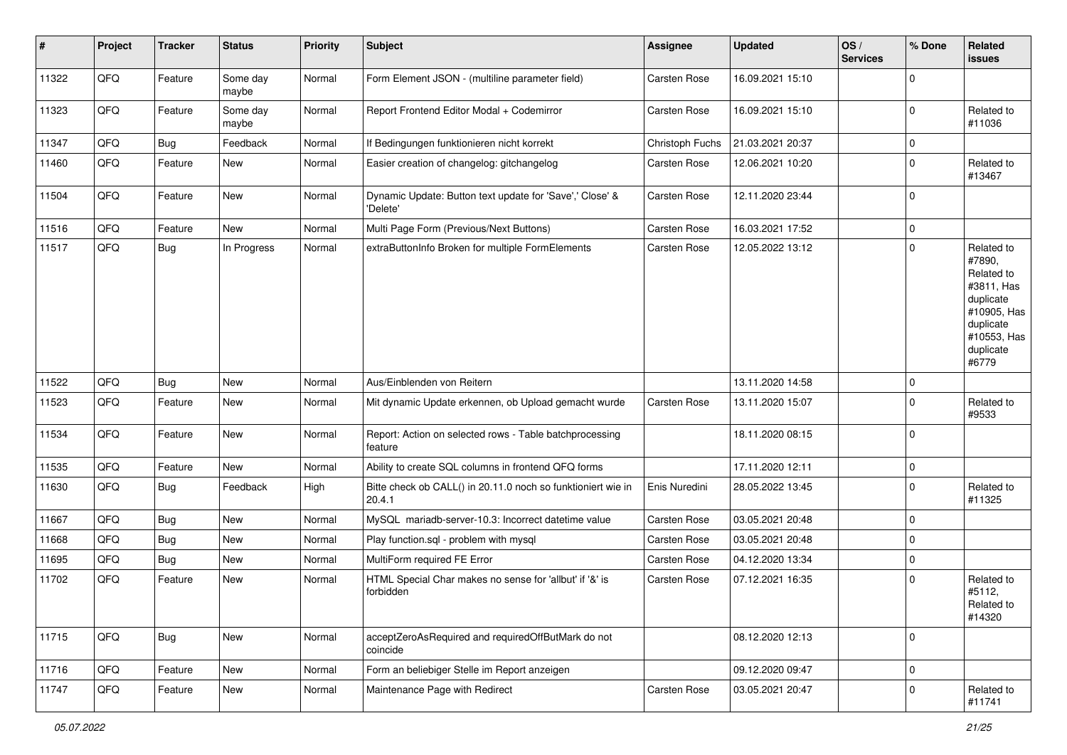| #     | Project | <b>Tracker</b> | <b>Status</b>     | <b>Priority</b> | <b>Subject</b>                                                         | <b>Assignee</b>     | <b>Updated</b>   | OS/<br><b>Services</b> | % Done         | Related<br>issues                                                                                                              |
|-------|---------|----------------|-------------------|-----------------|------------------------------------------------------------------------|---------------------|------------------|------------------------|----------------|--------------------------------------------------------------------------------------------------------------------------------|
| 11322 | QFQ     | Feature        | Some day<br>maybe | Normal          | Form Element JSON - (multiline parameter field)                        | Carsten Rose        | 16.09.2021 15:10 |                        | $\overline{0}$ |                                                                                                                                |
| 11323 | QFQ     | Feature        | Some day<br>maybe | Normal          | Report Frontend Editor Modal + Codemirror                              | <b>Carsten Rose</b> | 16.09.2021 15:10 |                        | $\Omega$       | Related to<br>#11036                                                                                                           |
| 11347 | QFQ     | Bug            | Feedback          | Normal          | If Bedingungen funktionieren nicht korrekt                             | Christoph Fuchs     | 21.03.2021 20:37 |                        | 0              |                                                                                                                                |
| 11460 | QFQ     | Feature        | New               | Normal          | Easier creation of changelog: gitchangelog                             | Carsten Rose        | 12.06.2021 10:20 |                        | $\mathbf 0$    | Related to<br>#13467                                                                                                           |
| 11504 | QFQ     | Feature        | <b>New</b>        | Normal          | Dynamic Update: Button text update for 'Save',' Close' &<br>'Delete'   | Carsten Rose        | 12.11.2020 23:44 |                        | $\overline{0}$ |                                                                                                                                |
| 11516 | QFQ     | Feature        | <b>New</b>        | Normal          | Multi Page Form (Previous/Next Buttons)                                | Carsten Rose        | 16.03.2021 17:52 |                        | 0              |                                                                                                                                |
| 11517 | QFQ     | Bug            | In Progress       | Normal          | extraButtonInfo Broken for multiple FormElements                       | <b>Carsten Rose</b> | 12.05.2022 13:12 |                        | $\mathbf 0$    | Related to<br>#7890,<br>Related to<br>#3811, Has<br>duplicate<br>#10905, Has<br>duplicate<br>#10553, Has<br>duplicate<br>#6779 |
| 11522 | QFQ     | Bug            | <b>New</b>        | Normal          | Aus/Einblenden von Reitern                                             |                     | 13.11.2020 14:58 |                        | $\mathbf 0$    |                                                                                                                                |
| 11523 | QFQ     | Feature        | <b>New</b>        | Normal          | Mit dynamic Update erkennen, ob Upload gemacht wurde                   | <b>Carsten Rose</b> | 13.11.2020 15:07 |                        | $\Omega$       | Related to<br>#9533                                                                                                            |
| 11534 | QFQ     | Feature        | New               | Normal          | Report: Action on selected rows - Table batchprocessing<br>feature     |                     | 18.11.2020 08:15 |                        | $\Omega$       |                                                                                                                                |
| 11535 | QFQ     | Feature        | <b>New</b>        | Normal          | Ability to create SQL columns in frontend QFQ forms                    |                     | 17.11.2020 12:11 |                        | $\mathbf 0$    |                                                                                                                                |
| 11630 | QFQ     | Bug            | Feedback          | High            | Bitte check ob CALL() in 20.11.0 noch so funktioniert wie in<br>20.4.1 | Enis Nuredini       | 28.05.2022 13:45 |                        | $\Omega$       | Related to<br>#11325                                                                                                           |
| 11667 | QFQ     | Bug            | <b>New</b>        | Normal          | MySQL mariadb-server-10.3: Incorrect datetime value                    | <b>Carsten Rose</b> | 03.05.2021 20:48 |                        | $\Omega$       |                                                                                                                                |
| 11668 | QFQ     | Bug            | New               | Normal          | Play function.sql - problem with mysql                                 | <b>Carsten Rose</b> | 03.05.2021 20:48 |                        | $\mathbf 0$    |                                                                                                                                |
| 11695 | QFQ     | <b>Bug</b>     | <b>New</b>        | Normal          | MultiForm required FE Error                                            | Carsten Rose        | 04.12.2020 13:34 |                        | $\Omega$       |                                                                                                                                |
| 11702 | QFQ     | Feature        | New               | Normal          | HTML Special Char makes no sense for 'allbut' if '&' is<br>forbidden   | <b>Carsten Rose</b> | 07.12.2021 16:35 |                        | $\Omega$       | Related to<br>#5112,<br>Related to<br>#14320                                                                                   |
| 11715 | QFG     | <b>Bug</b>     | New               | Normal          | acceptZeroAsRequired and requiredOffButMark do not<br>coincide         |                     | 08.12.2020 12:13 |                        | $\mathbf 0$    |                                                                                                                                |
| 11716 | QFQ     | Feature        | New               | Normal          | Form an beliebiger Stelle im Report anzeigen                           |                     | 09.12.2020 09:47 |                        | 0              |                                                                                                                                |
| 11747 | QFQ     | Feature        | New               | Normal          | Maintenance Page with Redirect                                         | Carsten Rose        | 03.05.2021 20:47 |                        | $\mathbf 0$    | Related to<br>#11741                                                                                                           |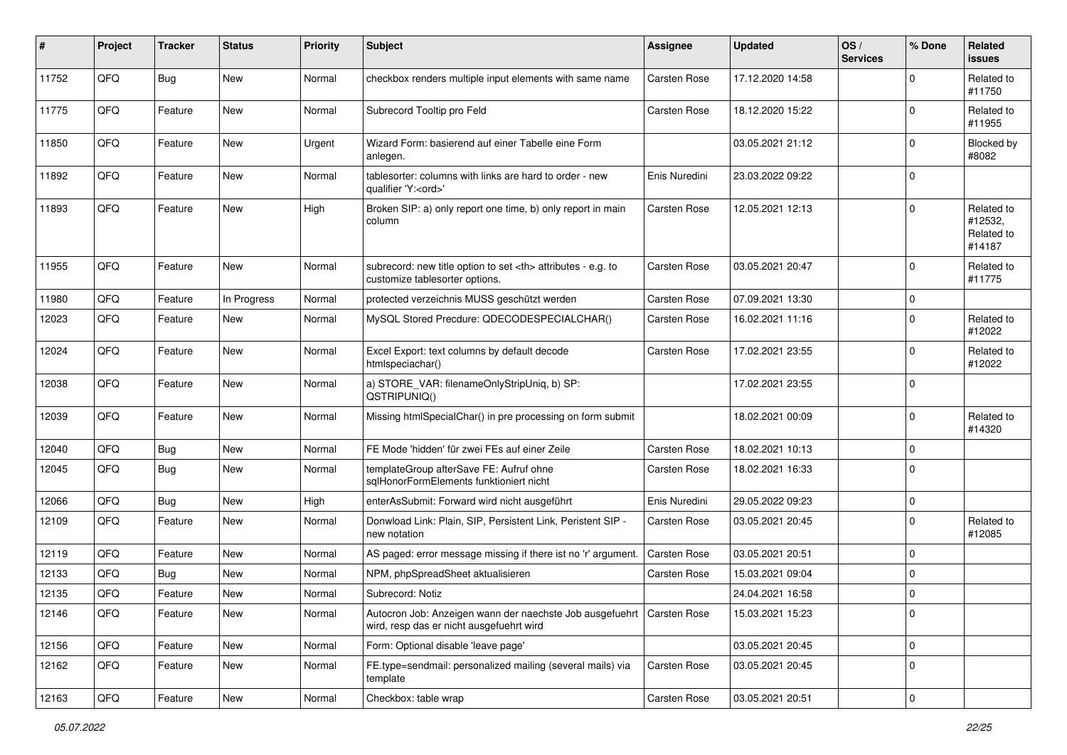| #     | Project | <b>Tracker</b> | <b>Status</b> | <b>Priority</b> | <b>Subject</b>                                                                                                      | <b>Assignee</b>                                        | <b>Updated</b>      | OS/<br><b>Services</b> | % Done      | Related<br><b>issues</b>                      |                      |
|-------|---------|----------------|---------------|-----------------|---------------------------------------------------------------------------------------------------------------------|--------------------------------------------------------|---------------------|------------------------|-------------|-----------------------------------------------|----------------------|
| 11752 | QFQ     | Bug            | New           | Normal          | checkbox renders multiple input elements with same name                                                             | <b>Carsten Rose</b>                                    | 17.12.2020 14:58    |                        | $\Omega$    | Related to<br>#11750                          |                      |
| 11775 | QFQ     | Feature        | <b>New</b>    | Normal          | Subrecord Tooltip pro Feld                                                                                          | <b>Carsten Rose</b>                                    | 18.12.2020 15:22    |                        | $\Omega$    | Related to<br>#11955                          |                      |
| 11850 | QFQ     | Feature        | <b>New</b>    | Urgent          | Wizard Form: basierend auf einer Tabelle eine Form<br>anlegen.                                                      |                                                        | 03.05.2021 21:12    |                        | $\Omega$    | Blocked by<br>#8082                           |                      |
| 11892 | QFQ     | Feature        | New           | Normal          | tablesorter: columns with links are hard to order - new<br>qualifier 'Y: <ord>'</ord>                               | Enis Nuredini                                          | 23.03.2022 09:22    |                        | 0           |                                               |                      |
| 11893 | QFQ     | Feature        | New           | High            | Broken SIP: a) only report one time, b) only report in main<br>column                                               | <b>Carsten Rose</b>                                    | 12.05.2021 12:13    |                        | $\Omega$    | Related to<br>#12532,<br>Related to<br>#14187 |                      |
| 11955 | QFQ     | Feature        | <b>New</b>    | Normal          | subrecord: new title option to set <th> attributes - e.g. to<br/>customize tablesorter options.</th>                | attributes - e.g. to<br>customize tablesorter options. | <b>Carsten Rose</b> | 03.05.2021 20:47       |             | $\Omega$                                      | Related to<br>#11775 |
| 11980 | QFQ     | Feature        | In Progress   | Normal          | protected verzeichnis MUSS geschützt werden                                                                         | <b>Carsten Rose</b>                                    | 07.09.2021 13:30    |                        | $\mathbf 0$ |                                               |                      |
| 12023 | QFQ     | Feature        | New           | Normal          | MySQL Stored Precdure: QDECODESPECIALCHAR()                                                                         | <b>Carsten Rose</b>                                    | 16.02.2021 11:16    |                        | $\Omega$    | Related to<br>#12022                          |                      |
| 12024 | QFQ     | Feature        | New           | Normal          | Excel Export: text columns by default decode<br>htmlspeciachar()                                                    | <b>Carsten Rose</b>                                    | 17.02.2021 23:55    |                        | $\Omega$    | Related to<br>#12022                          |                      |
| 12038 | QFQ     | Feature        | New           | Normal          | a) STORE_VAR: filenameOnlyStripUniq, b) SP:<br>QSTRIPUNIQ()                                                         |                                                        | 17.02.2021 23:55    |                        | 0           |                                               |                      |
| 12039 | QFQ     | Feature        | <b>New</b>    | Normal          | Missing htmlSpecialChar() in pre processing on form submit                                                          |                                                        | 18.02.2021 00:09    |                        | $\Omega$    | Related to<br>#14320                          |                      |
| 12040 | QFQ     | Bug            | New           | Normal          | FE Mode 'hidden' für zwei FEs auf einer Zeile                                                                       | <b>Carsten Rose</b>                                    | 18.02.2021 10:13    |                        | $\mathbf 0$ |                                               |                      |
| 12045 | QFQ     | Bug            | New           | Normal          | templateGroup afterSave FE: Aufruf ohne<br>sglHonorFormElements funktioniert nicht                                  | Carsten Rose                                           | 18.02.2021 16:33    |                        | $\mathbf 0$ |                                               |                      |
| 12066 | QFQ     | Bug            | New           | High            | enterAsSubmit: Forward wird nicht ausgeführt                                                                        | Enis Nuredini                                          | 29.05.2022 09:23    |                        | $\mathbf 0$ |                                               |                      |
| 12109 | QFQ     | Feature        | <b>New</b>    | Normal          | Donwload Link: Plain, SIP, Persistent Link, Peristent SIP -<br>new notation                                         | Carsten Rose                                           | 03.05.2021 20:45    |                        | $\mathbf 0$ | Related to<br>#12085                          |                      |
| 12119 | QFQ     | Feature        | <b>New</b>    | Normal          | AS paged: error message missing if there ist no 'r' argument.                                                       | Carsten Rose                                           | 03.05.2021 20:51    |                        | $\Omega$    |                                               |                      |
| 12133 | QFQ     | Bug            | <b>New</b>    | Normal          | NPM, phpSpreadSheet aktualisieren                                                                                   | <b>Carsten Rose</b>                                    | 15.03.2021 09:04    |                        | $\mathbf 0$ |                                               |                      |
| 12135 | QFQ     | Feature        | New           | Normal          | Subrecord: Notiz                                                                                                    |                                                        | 24.04.2021 16:58    |                        | $\mathbf 0$ |                                               |                      |
| 12146 | QFQ     | Feature        | New           | Normal          | Autocron Job: Anzeigen wann der naechste Job ausgefuehrt   Carsten Rose<br>wird, resp das er nicht ausgefuehrt wird |                                                        | 15.03.2021 15:23    |                        | 0           |                                               |                      |
| 12156 | QFQ     | Feature        | New           | Normal          | Form: Optional disable 'leave page'                                                                                 |                                                        | 03.05.2021 20:45    |                        | $\mathbf 0$ |                                               |                      |
| 12162 | QFQ     | Feature        | New           | Normal          | FE.type=sendmail: personalized mailing (several mails) via<br>template                                              | Carsten Rose                                           | 03.05.2021 20:45    |                        | 0           |                                               |                      |
| 12163 | QFQ     | Feature        | New           | Normal          | Checkbox: table wrap                                                                                                | Carsten Rose                                           | 03.05.2021 20:51    |                        | $\mathbf 0$ |                                               |                      |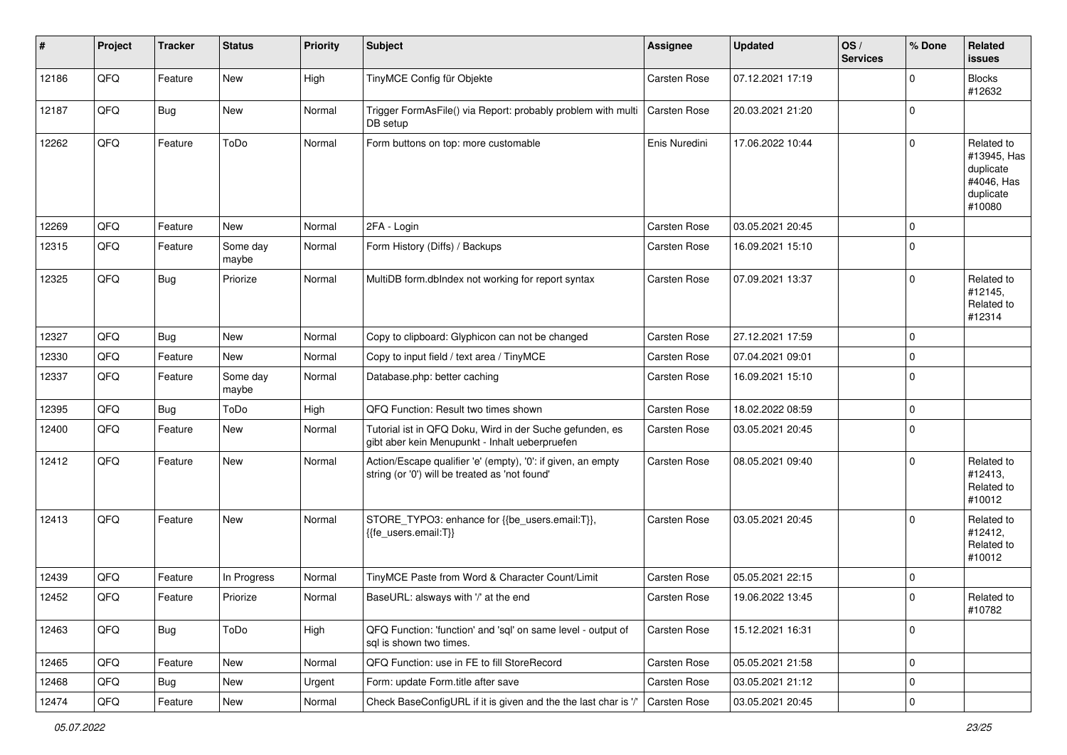| $\sharp$ | Project | <b>Tracker</b> | <b>Status</b>     | <b>Priority</b> | Subject                                                                                                        | <b>Assignee</b>     | <b>Updated</b>   | OS/<br><b>Services</b> | % Done      | Related<br><b>issues</b>                                                    |
|----------|---------|----------------|-------------------|-----------------|----------------------------------------------------------------------------------------------------------------|---------------------|------------------|------------------------|-------------|-----------------------------------------------------------------------------|
| 12186    | QFQ     | Feature        | New               | High            | TinyMCE Config für Objekte                                                                                     | Carsten Rose        | 07.12.2021 17:19 |                        | $\Omega$    | <b>Blocks</b><br>#12632                                                     |
| 12187    | QFQ     | Bug            | New               | Normal          | Trigger FormAsFile() via Report: probably problem with multi<br>DB setup                                       | <b>Carsten Rose</b> | 20.03.2021 21:20 |                        | 0           |                                                                             |
| 12262    | QFQ     | Feature        | ToDo              | Normal          | Form buttons on top: more customable                                                                           | Enis Nuredini       | 17.06.2022 10:44 |                        | $\Omega$    | Related to<br>#13945, Has<br>duplicate<br>#4046, Has<br>duplicate<br>#10080 |
| 12269    | QFQ     | Feature        | New               | Normal          | 2FA - Login                                                                                                    | Carsten Rose        | 03.05.2021 20:45 |                        | $\Omega$    |                                                                             |
| 12315    | QFQ     | Feature        | Some day<br>maybe | Normal          | Form History (Diffs) / Backups                                                                                 | <b>Carsten Rose</b> | 16.09.2021 15:10 |                        | $\mathbf 0$ |                                                                             |
| 12325    | QFQ     | Bug            | Priorize          | Normal          | MultiDB form.dblndex not working for report syntax                                                             | <b>Carsten Rose</b> | 07.09.2021 13:37 |                        | $\Omega$    | Related to<br>#12145,<br>Related to<br>#12314                               |
| 12327    | QFQ     | Bug            | New               | Normal          | Copy to clipboard: Glyphicon can not be changed                                                                | <b>Carsten Rose</b> | 27.12.2021 17:59 |                        | $\mathbf 0$ |                                                                             |
| 12330    | QFQ     | Feature        | New               | Normal          | Copy to input field / text area / TinyMCE                                                                      | <b>Carsten Rose</b> | 07.04.2021 09:01 |                        | $\mathbf 0$ |                                                                             |
| 12337    | QFQ     | Feature        | Some day<br>maybe | Normal          | Database.php: better caching                                                                                   | <b>Carsten Rose</b> | 16.09.2021 15:10 |                        | $\Omega$    |                                                                             |
| 12395    | QFQ     | <b>Bug</b>     | ToDo              | High            | QFQ Function: Result two times shown                                                                           | <b>Carsten Rose</b> | 18.02.2022 08:59 |                        | $\Omega$    |                                                                             |
| 12400    | QFQ     | Feature        | <b>New</b>        | Normal          | Tutorial ist in QFQ Doku, Wird in der Suche gefunden, es<br>gibt aber kein Menupunkt - Inhalt ueberpruefen     | <b>Carsten Rose</b> | 03.05.2021 20:45 |                        | 0           |                                                                             |
| 12412    | QFQ     | Feature        | New               | Normal          | Action/Escape qualifier 'e' (empty), '0': if given, an empty<br>string (or '0') will be treated as 'not found' | <b>Carsten Rose</b> | 08.05.2021 09:40 |                        | $\Omega$    | Related to<br>#12413,<br>Related to<br>#10012                               |
| 12413    | QFQ     | Feature        | New               | Normal          | STORE_TYPO3: enhance for {{be_users.email:T}},<br>{{fe users.email:T}}                                         | <b>Carsten Rose</b> | 03.05.2021 20:45 |                        | $\Omega$    | Related to<br>#12412,<br>Related to<br>#10012                               |
| 12439    | QFQ     | Feature        | In Progress       | Normal          | TinyMCE Paste from Word & Character Count/Limit                                                                | <b>Carsten Rose</b> | 05.05.2021 22:15 |                        | $\mathbf 0$ |                                                                             |
| 12452    | QFQ     | Feature        | Priorize          | Normal          | BaseURL: alsways with '/' at the end                                                                           | Carsten Rose        | 19.06.2022 13:45 |                        | $\Omega$    | Related to<br>#10782                                                        |
| 12463    | QFQ     | <b>Bug</b>     | ToDo              | High            | QFQ Function: 'function' and 'sql' on same level - output of<br>sql is shown two times.                        | Carsten Rose        | 15.12.2021 16:31 |                        | $\mathbf 0$ |                                                                             |
| 12465    | QFQ     | Feature        | New               | Normal          | QFQ Function: use in FE to fill StoreRecord                                                                    | Carsten Rose        | 05.05.2021 21:58 |                        | $\mathbf 0$ |                                                                             |
| 12468    | QFQ     | <b>Bug</b>     | New               | Urgent          | Form: update Form.title after save                                                                             | Carsten Rose        | 03.05.2021 21:12 |                        | $\mathbf 0$ |                                                                             |
| 12474    | QFQ     | Feature        | New               | Normal          | Check BaseConfigURL if it is given and the the last char is '/'                                                | <b>Carsten Rose</b> | 03.05.2021 20:45 |                        | $\mathbf 0$ |                                                                             |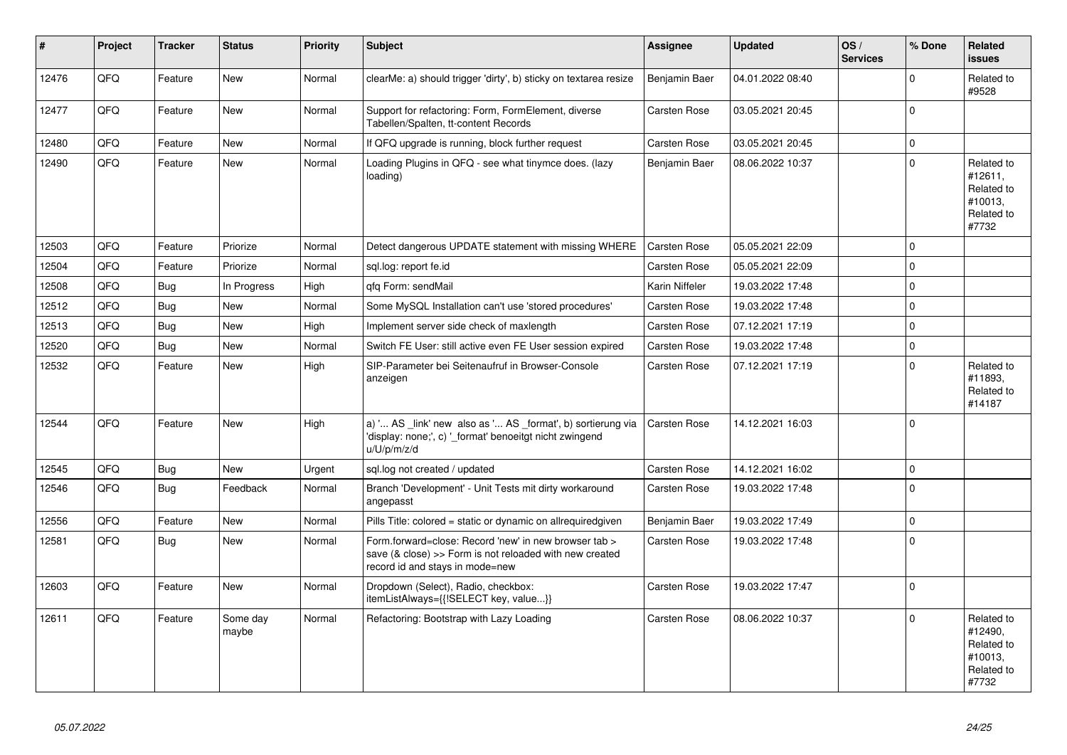| #     | Project | <b>Tracker</b> | <b>Status</b>     | <b>Priority</b> | <b>Subject</b>                                                                                                                                      | Assignee            | <b>Updated</b>   | OS/<br><b>Services</b> | % Done      | Related<br><b>issues</b>                                              |
|-------|---------|----------------|-------------------|-----------------|-----------------------------------------------------------------------------------------------------------------------------------------------------|---------------------|------------------|------------------------|-------------|-----------------------------------------------------------------------|
| 12476 | QFQ     | Feature        | New               | Normal          | clearMe: a) should trigger 'dirty', b) sticky on textarea resize                                                                                    | Benjamin Baer       | 04.01.2022 08:40 |                        | $\Omega$    | Related to<br>#9528                                                   |
| 12477 | QFQ     | Feature        | <b>New</b>        | Normal          | Support for refactoring: Form, FormElement, diverse<br>Tabellen/Spalten, tt-content Records                                                         | <b>Carsten Rose</b> | 03.05.2021 20:45 |                        | $\Omega$    |                                                                       |
| 12480 | QFQ     | Feature        | New               | Normal          | If QFQ upgrade is running, block further request                                                                                                    | <b>Carsten Rose</b> | 03.05.2021 20:45 |                        | $\mathbf 0$ |                                                                       |
| 12490 | QFQ     | Feature        | <b>New</b>        | Normal          | Loading Plugins in QFQ - see what tinymce does. (lazy<br>loading)                                                                                   | Benjamin Baer       | 08.06.2022 10:37 |                        | $\Omega$    | Related to<br>#12611,<br>Related to<br>#10013,<br>Related to<br>#7732 |
| 12503 | QFQ     | Feature        | Priorize          | Normal          | Detect dangerous UPDATE statement with missing WHERE                                                                                                | <b>Carsten Rose</b> | 05.05.2021 22:09 |                        | $\Omega$    |                                                                       |
| 12504 | QFQ     | Feature        | Priorize          | Normal          | sql.log: report fe.id                                                                                                                               | <b>Carsten Rose</b> | 05.05.2021 22:09 |                        | $\mathbf 0$ |                                                                       |
| 12508 | QFQ     | <b>Bug</b>     | In Progress       | High            | gfg Form: sendMail                                                                                                                                  | Karin Niffeler      | 19.03.2022 17:48 |                        | $\Omega$    |                                                                       |
| 12512 | QFQ     | <b>Bug</b>     | <b>New</b>        | Normal          | Some MySQL Installation can't use 'stored procedures'                                                                                               | <b>Carsten Rose</b> | 19.03.2022 17:48 |                        | $\Omega$    |                                                                       |
| 12513 | QFQ     | <b>Bug</b>     | <b>New</b>        | High            | Implement server side check of maxlength                                                                                                            | Carsten Rose        | 07.12.2021 17:19 |                        | $\Omega$    |                                                                       |
| 12520 | QFQ     | Bug            | New               | Normal          | Switch FE User: still active even FE User session expired                                                                                           | Carsten Rose        | 19.03.2022 17:48 |                        | $\mathbf 0$ |                                                                       |
| 12532 | QFQ     | Feature        | <b>New</b>        | High            | SIP-Parameter bei Seitenaufruf in Browser-Console<br>anzeigen                                                                                       | <b>Carsten Rose</b> | 07.12.2021 17:19 |                        | $\Omega$    | Related to<br>#11893,<br>Related to<br>#14187                         |
| 12544 | QFQ     | Feature        | <b>New</b>        | High            | a) ' AS _link' new also as ' AS _format', b) sortierung via<br>'display: none;', c) ' format' benoeitgt nicht zwingend<br>u/U/p/m/z/d               | <b>Carsten Rose</b> | 14.12.2021 16:03 |                        | $\Omega$    |                                                                       |
| 12545 | QFQ     | Bug            | New               | Urgent          | sql.log not created / updated                                                                                                                       | <b>Carsten Rose</b> | 14.12.2021 16:02 |                        | $\mathbf 0$ |                                                                       |
| 12546 | QFQ     | Bug            | Feedback          | Normal          | Branch 'Development' - Unit Tests mit dirty workaround<br>angepasst                                                                                 | Carsten Rose        | 19.03.2022 17:48 |                        | $\Omega$    |                                                                       |
| 12556 | QFQ     | Feature        | <b>New</b>        | Normal          | Pills Title: colored = static or dynamic on allrequiredgiven                                                                                        | Benjamin Baer       | 19.03.2022 17:49 |                        | $\Omega$    |                                                                       |
| 12581 | QFQ     | Bug            | New               | Normal          | Form.forward=close: Record 'new' in new browser tab ><br>save (& close) >> Form is not reloaded with new created<br>record id and stays in mode=new | <b>Carsten Rose</b> | 19.03.2022 17:48 |                        | $\mathbf 0$ |                                                                       |
| 12603 | QFQ     | Feature        | <b>New</b>        | Normal          | Dropdown (Select), Radio, checkbox:<br>itemListAlways={{!SELECT key, value}}                                                                        | <b>Carsten Rose</b> | 19.03.2022 17:47 |                        | $\Omega$    |                                                                       |
| 12611 | QFQ     | Feature        | Some day<br>maybe | Normal          | Refactoring: Bootstrap with Lazy Loading                                                                                                            | <b>Carsten Rose</b> | 08.06.2022 10:37 |                        | $\Omega$    | Related to<br>#12490,<br>Related to<br>#10013,<br>Related to<br>#7732 |